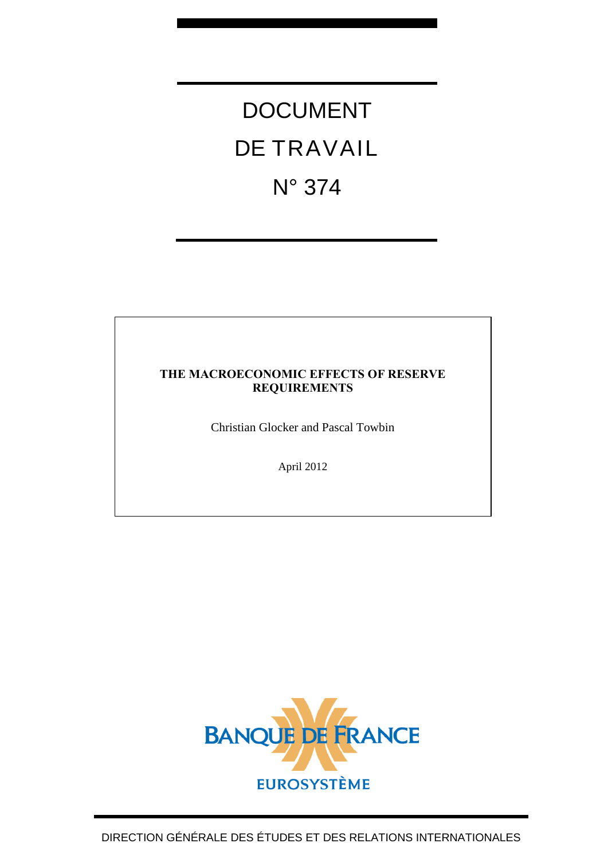# DOCUMENT DE TRAVAIL N° 374

### **THE MACROECONOMIC EFFECTS OF RESERVE REQUIREMENTS**

Christian Glocker and Pascal Towbin

April 2012

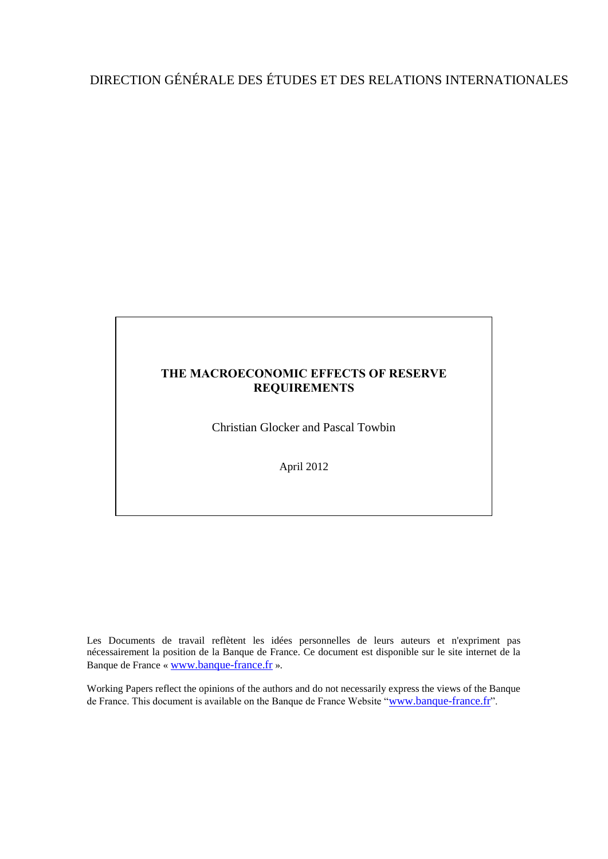### DIRECTION GÉNÉRALE DES ÉTUDES ET DES RELATIONS INTERNATIONALES

### **THE MACROECONOMIC EFFECTS OF RESERVE REQUIREMENTS**

Christian Glocker and Pascal Towbin

April 2012

Les Documents de travail reflètent les idées personnelles de leurs auteurs et n'expriment pas nécessairement la position de la Banque de France. Ce document est disponible sur le site internet de la Banque de France « [www.banque-france.fr](http://www.banque-france.fr/) ».

Working Papers reflect the opinions of the authors and do not necessarily express the views of the Banque de France. This document is available on the Banque de France Website "[www.banque-france.fr](http://www.banque-france.fr/)".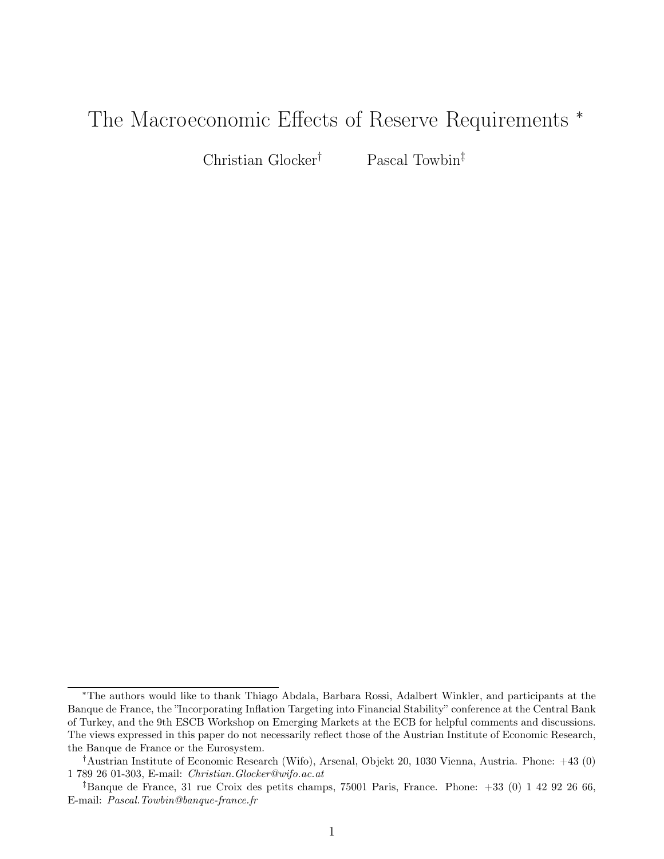# The Macroeconomic Effects of Reserve Requirements <sup>∗</sup>

Christian Glocker† Pascal Towbin‡

<sup>∗</sup>The authors would like to thank Thiago Abdala, Barbara Rossi, Adalbert Winkler, and participants at the Banque de France, the "Incorporating Inflation Targeting into Financial Stability" conference at the Central Bank of Turkey, and the 9th ESCB Workshop on Emerging Markets at the ECB for helpful comments and discussions. The views expressed in this paper do not necessarily reflect those of the Austrian Institute of Economic Research, the Banque de France or the Eurosystem.

<sup>†</sup>Austrian Institute of Economic Research (Wifo), Arsenal, Objekt 20, 1030 Vienna, Austria. Phone: +43 (0) 1 789 26 01-303, E-mail: Christian.Glocker@wifo.ac.at

<sup>&</sup>lt;sup>‡</sup>Banque de France, 31 rue Croix des petits champs, 75001 Paris, France. Phone:  $+33$  (0) 1 42 92 26 66, E-mail: Pascal.Towbin@banque-france.fr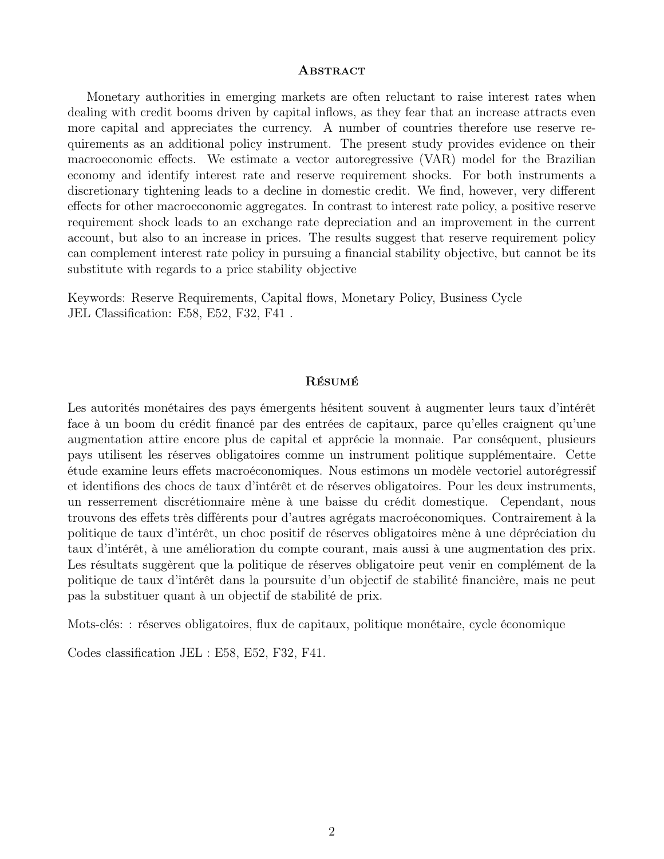#### **ABSTRACT**

Monetary authorities in emerging markets are often reluctant to raise interest rates when dealing with credit booms driven by capital inflows, as they fear that an increase attracts even more capital and appreciates the currency. A number of countries therefore use reserve requirements as an additional policy instrument. The present study provides evidence on their macroeconomic effects. We estimate a vector autoregressive (VAR) model for the Brazilian economy and identify interest rate and reserve requirement shocks. For both instruments a discretionary tightening leads to a decline in domestic credit. We find, however, very different effects for other macroeconomic aggregates. In contrast to interest rate policy, a positive reserve requirement shock leads to an exchange rate depreciation and an improvement in the current account, but also to an increase in prices. The results suggest that reserve requirement policy can complement interest rate policy in pursuing a financial stability objective, but cannot be its substitute with regards to a price stability objective

Keywords: Reserve Requirements, Capital flows, Monetary Policy, Business Cycle JEL Classification: E58, E52, F32, F41 .

#### Résumé

Les autorités monétaires des pays émergents hésitent souvent à augmenter leurs taux d'intérêt face à un boom du crédit financé par des entrées de capitaux, parce qu'elles craignent qu'une augmentation attire encore plus de capital et apprécie la monnaie. Par conséquent, plusieurs pays utilisent les réserves obligatoires comme un instrument politique supplémentaire. Cette étude examine leurs effets macroéconomiques. Nous estimons un modèle vectoriel autorégressif et identifions des chocs de taux d'intérêt et de réserves obligatoires. Pour les deux instruments, un resserrement discrétionnaire mène à une baisse du crédit domestique. Cependant, nous trouvons des effets très différents pour d'autres agrégats macroéconomiques. Contrairement à la politique de taux d'intérêt, un choc positif de réserves obligatoires mène à une dépréciation du taux d'intérêt, à une amélioration du compte courant, mais aussi à une augmentation des prix. Les résultats suggèrent que la politique de réserves obligatoire peut venir en complément de la politique de taux d'intérêt dans la poursuite d'un objectif de stabilité financière, mais ne peut pas la substituer quant à un objectif de stabilité de prix.

Mots-clés: : réserves obligatoires, flux de capitaux, politique monétaire, cycle économique

Codes classification JEL : E58, E52, F32, F41.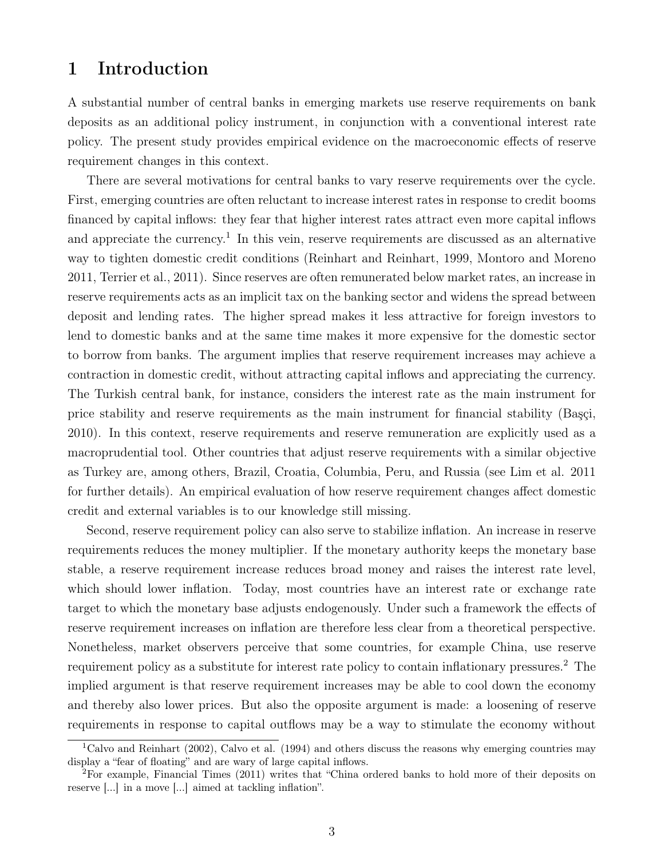### 1 Introduction

A substantial number of central banks in emerging markets use reserve requirements on bank deposits as an additional policy instrument, in conjunction with a conventional interest rate policy. The present study provides empirical evidence on the macroeconomic effects of reserve requirement changes in this context.

There are several motivations for central banks to vary reserve requirements over the cycle. First, emerging countries are often reluctant to increase interest rates in response to credit booms financed by capital inflows: they fear that higher interest rates attract even more capital inflows and appreciate the currency.<sup>1</sup> In this vein, reserve requirements are discussed as an alternative way to tighten domestic credit conditions (Reinhart and Reinhart, 1999, Montoro and Moreno 2011, Terrier et al., 2011). Since reserves are often remunerated below market rates, an increase in reserve requirements acts as an implicit tax on the banking sector and widens the spread between deposit and lending rates. The higher spread makes it less attractive for foreign investors to lend to domestic banks and at the same time makes it more expensive for the domestic sector to borrow from banks. The argument implies that reserve requirement increases may achieve a contraction in domestic credit, without attracting capital inflows and appreciating the currency. The Turkish central bank, for instance, considers the interest rate as the main instrument for price stability and reserve requirements as the main instrument for financial stability (Başçi, 2010). In this context, reserve requirements and reserve remuneration are explicitly used as a macroprudential tool. Other countries that adjust reserve requirements with a similar objective as Turkey are, among others, Brazil, Croatia, Columbia, Peru, and Russia (see Lim et al. 2011 for further details). An empirical evaluation of how reserve requirement changes affect domestic credit and external variables is to our knowledge still missing.

Second, reserve requirement policy can also serve to stabilize inflation. An increase in reserve requirements reduces the money multiplier. If the monetary authority keeps the monetary base stable, a reserve requirement increase reduces broad money and raises the interest rate level, which should lower inflation. Today, most countries have an interest rate or exchange rate target to which the monetary base adjusts endogenously. Under such a framework the effects of reserve requirement increases on inflation are therefore less clear from a theoretical perspective. Nonetheless, market observers perceive that some countries, for example China, use reserve requirement policy as a substitute for interest rate policy to contain inflationary pressures.<sup>2</sup> The implied argument is that reserve requirement increases may be able to cool down the economy and thereby also lower prices. But also the opposite argument is made: a loosening of reserve requirements in response to capital outflows may be a way to stimulate the economy without

<sup>&</sup>lt;sup>1</sup>Calvo and Reinhart (2002), Calvo et al. (1994) and others discuss the reasons why emerging countries may display a "fear of floating" and are wary of large capital inflows.

<sup>2</sup>For example, Financial Times (2011) writes that "China ordered banks to hold more of their deposits on reserve [...] in a move [...] aimed at tackling inflation".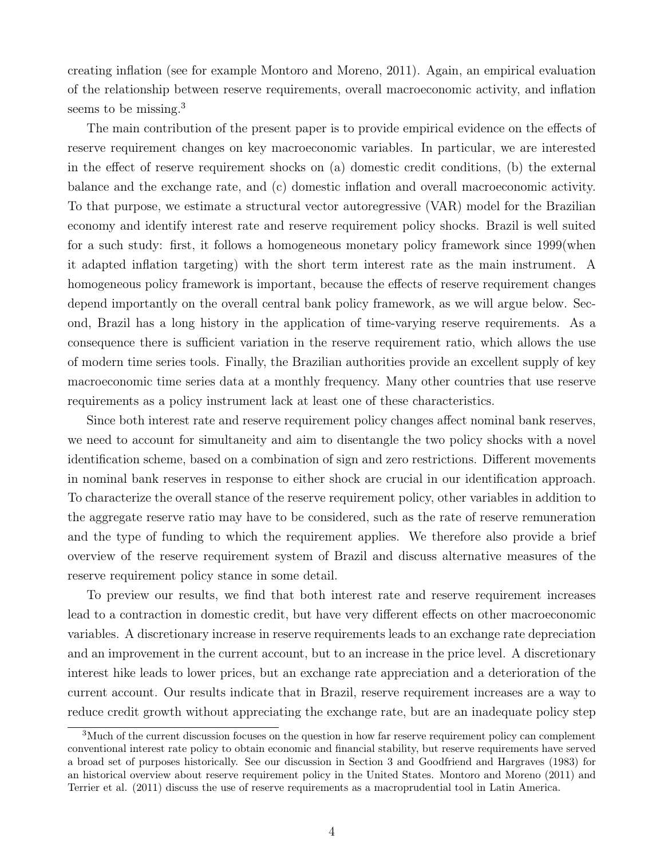creating inflation (see for example Montoro and Moreno, 2011). Again, an empirical evaluation of the relationship between reserve requirements, overall macroeconomic activity, and inflation seems to be missing.<sup>3</sup>

The main contribution of the present paper is to provide empirical evidence on the effects of reserve requirement changes on key macroeconomic variables. In particular, we are interested in the effect of reserve requirement shocks on (a) domestic credit conditions, (b) the external balance and the exchange rate, and (c) domestic inflation and overall macroeconomic activity. To that purpose, we estimate a structural vector autoregressive (VAR) model for the Brazilian economy and identify interest rate and reserve requirement policy shocks. Brazil is well suited for a such study: first, it follows a homogeneous monetary policy framework since 1999(when it adapted inflation targeting) with the short term interest rate as the main instrument. A homogeneous policy framework is important, because the effects of reserve requirement changes depend importantly on the overall central bank policy framework, as we will argue below. Second, Brazil has a long history in the application of time-varying reserve requirements. As a consequence there is sufficient variation in the reserve requirement ratio, which allows the use of modern time series tools. Finally, the Brazilian authorities provide an excellent supply of key macroeconomic time series data at a monthly frequency. Many other countries that use reserve requirements as a policy instrument lack at least one of these characteristics.

Since both interest rate and reserve requirement policy changes affect nominal bank reserves, we need to account for simultaneity and aim to disentangle the two policy shocks with a novel identification scheme, based on a combination of sign and zero restrictions. Different movements in nominal bank reserves in response to either shock are crucial in our identification approach. To characterize the overall stance of the reserve requirement policy, other variables in addition to the aggregate reserve ratio may have to be considered, such as the rate of reserve remuneration and the type of funding to which the requirement applies. We therefore also provide a brief overview of the reserve requirement system of Brazil and discuss alternative measures of the reserve requirement policy stance in some detail.

To preview our results, we find that both interest rate and reserve requirement increases lead to a contraction in domestic credit, but have very different effects on other macroeconomic variables. A discretionary increase in reserve requirements leads to an exchange rate depreciation and an improvement in the current account, but to an increase in the price level. A discretionary interest hike leads to lower prices, but an exchange rate appreciation and a deterioration of the current account. Our results indicate that in Brazil, reserve requirement increases are a way to reduce credit growth without appreciating the exchange rate, but are an inadequate policy step

<sup>3</sup>Much of the current discussion focuses on the question in how far reserve requirement policy can complement conventional interest rate policy to obtain economic and financial stability, but reserve requirements have served a broad set of purposes historically. See our discussion in Section 3 and Goodfriend and Hargraves (1983) for an historical overview about reserve requirement policy in the United States. Montoro and Moreno (2011) and Terrier et al. (2011) discuss the use of reserve requirements as a macroprudential tool in Latin America.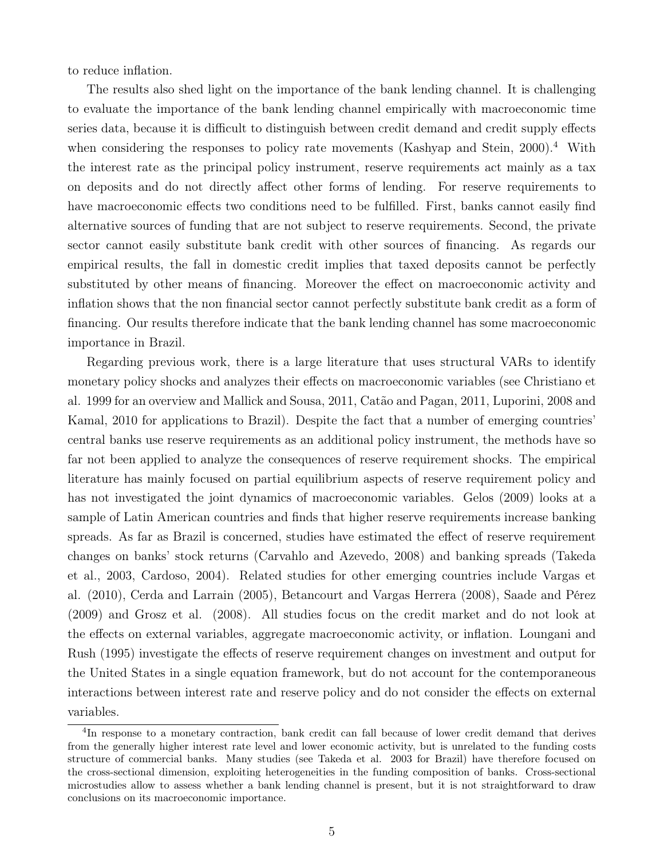to reduce inflation.

The results also shed light on the importance of the bank lending channel. It is challenging to evaluate the importance of the bank lending channel empirically with macroeconomic time series data, because it is difficult to distinguish between credit demand and credit supply effects when considering the responses to policy rate movements (Kashyap and Stein, 2000).<sup>4</sup> With the interest rate as the principal policy instrument, reserve requirements act mainly as a tax on deposits and do not directly affect other forms of lending. For reserve requirements to have macroeconomic effects two conditions need to be fulfilled. First, banks cannot easily find alternative sources of funding that are not subject to reserve requirements. Second, the private sector cannot easily substitute bank credit with other sources of financing. As regards our empirical results, the fall in domestic credit implies that taxed deposits cannot be perfectly substituted by other means of financing. Moreover the effect on macroeconomic activity and inflation shows that the non financial sector cannot perfectly substitute bank credit as a form of financing. Our results therefore indicate that the bank lending channel has some macroeconomic importance in Brazil.

Regarding previous work, there is a large literature that uses structural VARs to identify monetary policy shocks and analyzes their effects on macroeconomic variables (see Christiano et al. 1999 for an overview and Mallick and Sousa, 2011, Catão and Pagan, 2011, Luporini, 2008 and Kamal, 2010 for applications to Brazil). Despite the fact that a number of emerging countries' central banks use reserve requirements as an additional policy instrument, the methods have so far not been applied to analyze the consequences of reserve requirement shocks. The empirical literature has mainly focused on partial equilibrium aspects of reserve requirement policy and has not investigated the joint dynamics of macroeconomic variables. Gelos (2009) looks at a sample of Latin American countries and finds that higher reserve requirements increase banking spreads. As far as Brazil is concerned, studies have estimated the effect of reserve requirement changes on banks' stock returns (Carvahlo and Azevedo, 2008) and banking spreads (Takeda et al., 2003, Cardoso, 2004). Related studies for other emerging countries include Vargas et al. (2010), Cerda and Larrain (2005), Betancourt and Vargas Herrera (2008), Saade and Pérez (2009) and Grosz et al. (2008). All studies focus on the credit market and do not look at the effects on external variables, aggregate macroeconomic activity, or inflation. Loungani and Rush (1995) investigate the effects of reserve requirement changes on investment and output for the United States in a single equation framework, but do not account for the contemporaneous interactions between interest rate and reserve policy and do not consider the effects on external variables.

<sup>&</sup>lt;sup>4</sup>In response to a monetary contraction, bank credit can fall because of lower credit demand that derives from the generally higher interest rate level and lower economic activity, but is unrelated to the funding costs structure of commercial banks. Many studies (see Takeda et al. 2003 for Brazil) have therefore focused on the cross-sectional dimension, exploiting heterogeneities in the funding composition of banks. Cross-sectional microstudies allow to assess whether a bank lending channel is present, but it is not straightforward to draw conclusions on its macroeconomic importance.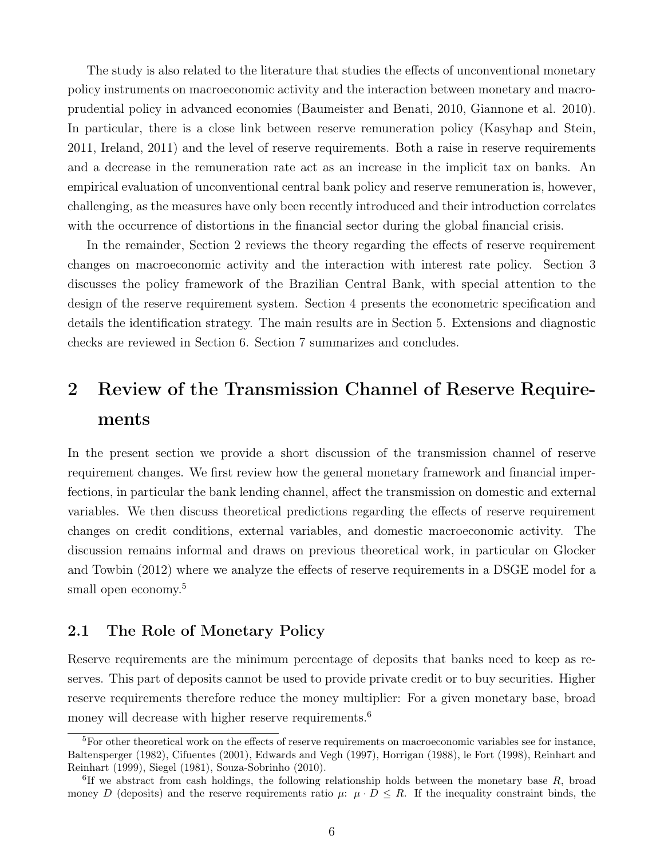The study is also related to the literature that studies the effects of unconventional monetary policy instruments on macroeconomic activity and the interaction between monetary and macroprudential policy in advanced economies (Baumeister and Benati, 2010, Giannone et al. 2010). In particular, there is a close link between reserve remuneration policy (Kasyhap and Stein, 2011, Ireland, 2011) and the level of reserve requirements. Both a raise in reserve requirements and a decrease in the remuneration rate act as an increase in the implicit tax on banks. An empirical evaluation of unconventional central bank policy and reserve remuneration is, however, challenging, as the measures have only been recently introduced and their introduction correlates with the occurrence of distortions in the financial sector during the global financial crisis.

In the remainder, Section 2 reviews the theory regarding the effects of reserve requirement changes on macroeconomic activity and the interaction with interest rate policy. Section 3 discusses the policy framework of the Brazilian Central Bank, with special attention to the design of the reserve requirement system. Section 4 presents the econometric specification and details the identification strategy. The main results are in Section 5. Extensions and diagnostic checks are reviewed in Section 6. Section 7 summarizes and concludes.

# 2 Review of the Transmission Channel of Reserve Requirements

In the present section we provide a short discussion of the transmission channel of reserve requirement changes. We first review how the general monetary framework and financial imperfections, in particular the bank lending channel, affect the transmission on domestic and external variables. We then discuss theoretical predictions regarding the effects of reserve requirement changes on credit conditions, external variables, and domestic macroeconomic activity. The discussion remains informal and draws on previous theoretical work, in particular on Glocker and Towbin (2012) where we analyze the effects of reserve requirements in a DSGE model for a small open economy.<sup>5</sup>

### 2.1 The Role of Monetary Policy

Reserve requirements are the minimum percentage of deposits that banks need to keep as reserves. This part of deposits cannot be used to provide private credit or to buy securities. Higher reserve requirements therefore reduce the money multiplier: For a given monetary base, broad money will decrease with higher reserve requirements.<sup>6</sup>

<sup>&</sup>lt;sup>5</sup>For other theoretical work on the effects of reserve requirements on macroeconomic variables see for instance, Baltensperger (1982), Cifuentes (2001), Edwards and Vegh (1997), Horrigan (1988), le Fort (1998), Reinhart and Reinhart (1999), Siegel (1981), Souza-Sobrinho (2010).

 ${}^{6}$ If we abstract from cash holdings, the following relationship holds between the monetary base  $R$ , broad money D (deposits) and the reserve requirements ratio  $\mu: \mu \cdot D \leq R$ . If the inequality constraint binds, the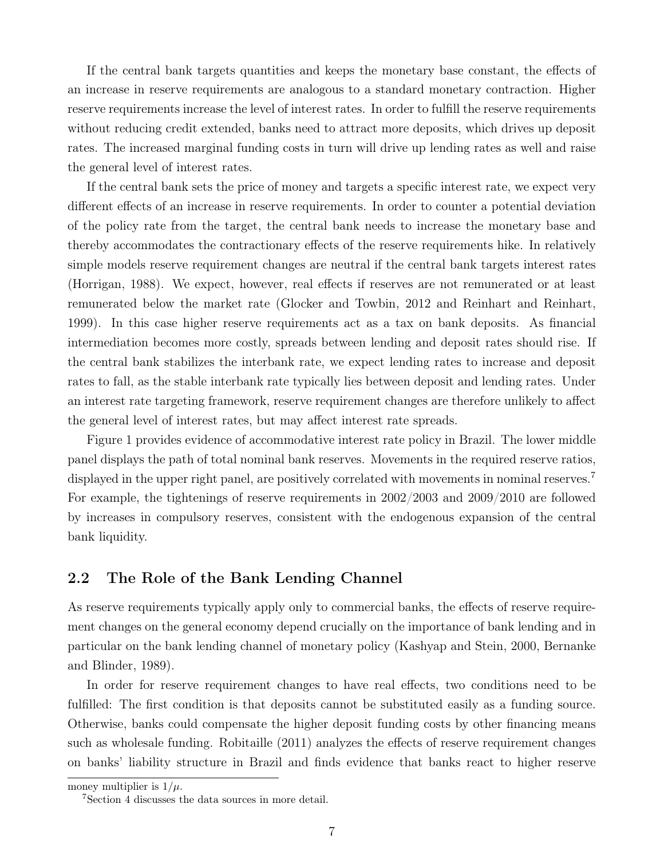If the central bank targets quantities and keeps the monetary base constant, the effects of an increase in reserve requirements are analogous to a standard monetary contraction. Higher reserve requirements increase the level of interest rates. In order to fulfill the reserve requirements without reducing credit extended, banks need to attract more deposits, which drives up deposit rates. The increased marginal funding costs in turn will drive up lending rates as well and raise the general level of interest rates.

If the central bank sets the price of money and targets a specific interest rate, we expect very different effects of an increase in reserve requirements. In order to counter a potential deviation of the policy rate from the target, the central bank needs to increase the monetary base and thereby accommodates the contractionary effects of the reserve requirements hike. In relatively simple models reserve requirement changes are neutral if the central bank targets interest rates (Horrigan, 1988). We expect, however, real effects if reserves are not remunerated or at least remunerated below the market rate (Glocker and Towbin, 2012 and Reinhart and Reinhart, 1999). In this case higher reserve requirements act as a tax on bank deposits. As financial intermediation becomes more costly, spreads between lending and deposit rates should rise. If the central bank stabilizes the interbank rate, we expect lending rates to increase and deposit rates to fall, as the stable interbank rate typically lies between deposit and lending rates. Under an interest rate targeting framework, reserve requirement changes are therefore unlikely to affect the general level of interest rates, but may affect interest rate spreads.

Figure 1 provides evidence of accommodative interest rate policy in Brazil. The lower middle panel displays the path of total nominal bank reserves. Movements in the required reserve ratios, displayed in the upper right panel, are positively correlated with movements in nominal reserves.<sup>7</sup> For example, the tightenings of reserve requirements in 2002/2003 and 2009/2010 are followed by increases in compulsory reserves, consistent with the endogenous expansion of the central bank liquidity.

### 2.2 The Role of the Bank Lending Channel

As reserve requirements typically apply only to commercial banks, the effects of reserve requirement changes on the general economy depend crucially on the importance of bank lending and in particular on the bank lending channel of monetary policy (Kashyap and Stein, 2000, Bernanke and Blinder, 1989).

In order for reserve requirement changes to have real effects, two conditions need to be fulfilled: The first condition is that deposits cannot be substituted easily as a funding source. Otherwise, banks could compensate the higher deposit funding costs by other financing means such as wholesale funding. Robitaille (2011) analyzes the effects of reserve requirement changes on banks' liability structure in Brazil and finds evidence that banks react to higher reserve

money multiplier is  $1/\mu$ .

<sup>7</sup>Section 4 discusses the data sources in more detail.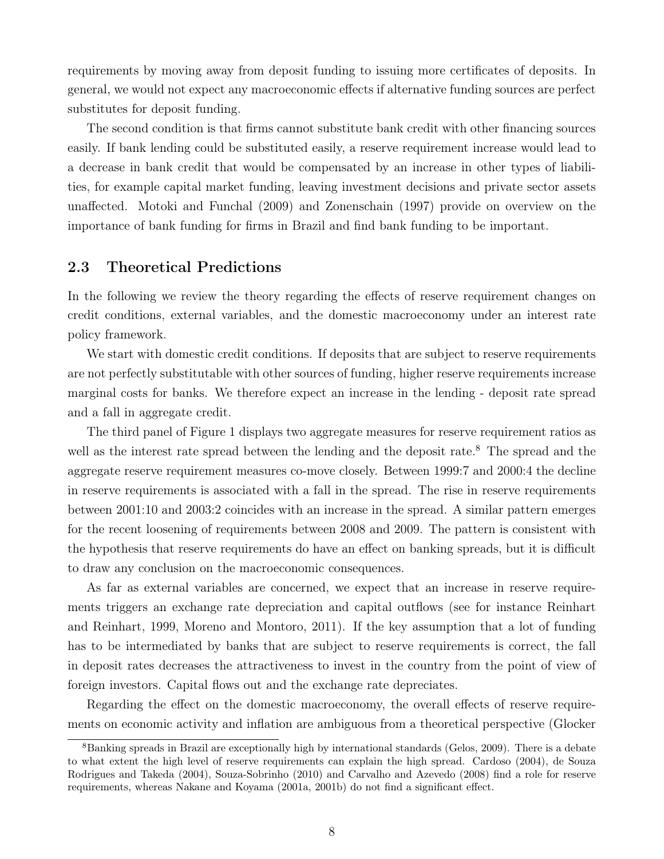requirements by moving away from deposit funding to issuing more certificates of deposits. In general, we would not expect any macroeconomic effects if alternative funding sources are perfect substitutes for deposit funding.

The second condition is that firms cannot substitute bank credit with other financing sources easily. If bank lending could be substituted easily, a reserve requirement increase would lead to a decrease in bank credit that would be compensated by an increase in other types of liabilities, for example capital market funding, leaving investment decisions and private sector assets unaffected. Motoki and Funchal (2009) and Zonenschain (1997) provide on overview on the importance of bank funding for firms in Brazil and find bank funding to be important.

### 2.3 Theoretical Predictions

In the following we review the theory regarding the effects of reserve requirement changes on credit conditions, external variables, and the domestic macroeconomy under an interest rate policy framework.

We start with domestic credit conditions. If deposits that are subject to reserve requirements are not perfectly substitutable with other sources of funding, higher reserve requirements increase marginal costs for banks. We therefore expect an increase in the lending - deposit rate spread and a fall in aggregate credit.

The third panel of Figure 1 displays two aggregate measures for reserve requirement ratios as well as the interest rate spread between the lending and the deposit rate.<sup>8</sup> The spread and the aggregate reserve requirement measures co-move closely. Between 1999:7 and 2000:4 the decline in reserve requirements is associated with a fall in the spread. The rise in reserve requirements between 2001:10 and 2003:2 coincides with an increase in the spread. A similar pattern emerges for the recent loosening of requirements between 2008 and 2009. The pattern is consistent with the hypothesis that reserve requirements do have an effect on banking spreads, but it is difficult to draw any conclusion on the macroeconomic consequences.

As far as external variables are concerned, we expect that an increase in reserve requirements triggers an exchange rate depreciation and capital outflows (see for instance Reinhart and Reinhart, 1999, Moreno and Montoro, 2011). If the key assumption that a lot of funding has to be intermediated by banks that are subject to reserve requirements is correct, the fall in deposit rates decreases the attractiveness to invest in the country from the point of view of foreign investors. Capital flows out and the exchange rate depreciates.

Regarding the effect on the domestic macroeconomy, the overall effects of reserve requirements on economic activity and inflation are ambiguous from a theoretical perspective (Glocker

<sup>8</sup>Banking spreads in Brazil are exceptionally high by international standards (Gelos, 2009). There is a debate to what extent the high level of reserve requirements can explain the high spread. Cardoso (2004), de Souza Rodrigues and Takeda (2004), Souza-Sobrinho (2010) and Carvalho and Azevedo (2008) find a role for reserve requirements, whereas Nakane and Koyama (2001a, 2001b) do not find a significant effect.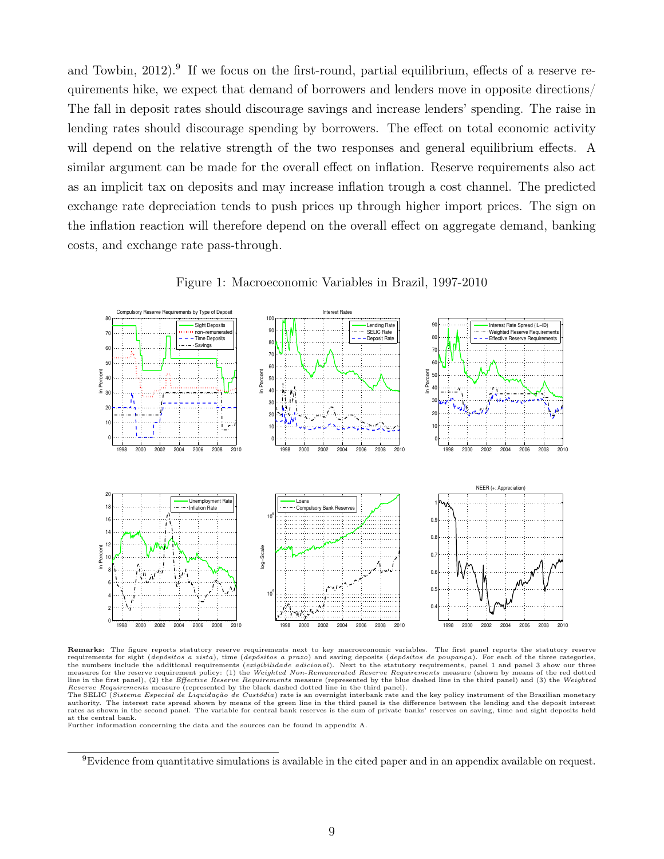and Towbin, 2012).<sup>9</sup> If we focus on the first-round, partial equilibrium, effects of a reserve requirements hike, we expect that demand of borrowers and lenders move in opposite directions/ The fall in deposit rates should discourage savings and increase lenders' spending. The raise in lending rates should discourage spending by borrowers. The effect on total economic activity will depend on the relative strength of the two responses and general equilibrium effects. A similar argument can be made for the overall effect on inflation. Reserve requirements also act as an implicit tax on deposits and may increase inflation trough a cost channel. The predicted exchange rate depreciation tends to push prices up through higher import prices. The sign on the inflation reaction will therefore depend on the overall effect on aggregate demand, banking costs, and exchange rate pass-through.



Figure 1: Macroeconomic Variables in Brazil, 1997-2010

Remarks: The figure reports statutory reserve requirements next to key macroeconomic variables. The first panel reports the statutory reserve requirements for sight (depósitos a vista), time (depósitos a prazo) and saving deposits (depósitos de poupança). For each of the three categories,<br>the numbers include the additional requirements (exigibilidade adicional). measures for the reserve requirement policy: (1) the Weighted Non-Remunerated Reserve Requirements measure (shown by means of the red dotted line in the first panel), (2) the *Effective Reserve Requirements* measure (represented by the blue dashed line in the third panel) and (3) the *Weighted*<br>*Reserve Requirements* measure (represented by the black dashed dot

The SELIC (Sistema Especial de Liquidação de Custódia) rate is an overnight interbank rate and the key policy instrument of the Brazilian monetary authority. The interest rate spread shown by means of the green line in the third panel is the difference between the lending and the deposit interest<br>rates as shown in the second panel. The variable for central bank reser at the central bank.

Further information concerning the data and the sources can be found in appendix A.

<sup>9</sup>Evidence from quantitative simulations is available in the cited paper and in an appendix available on request.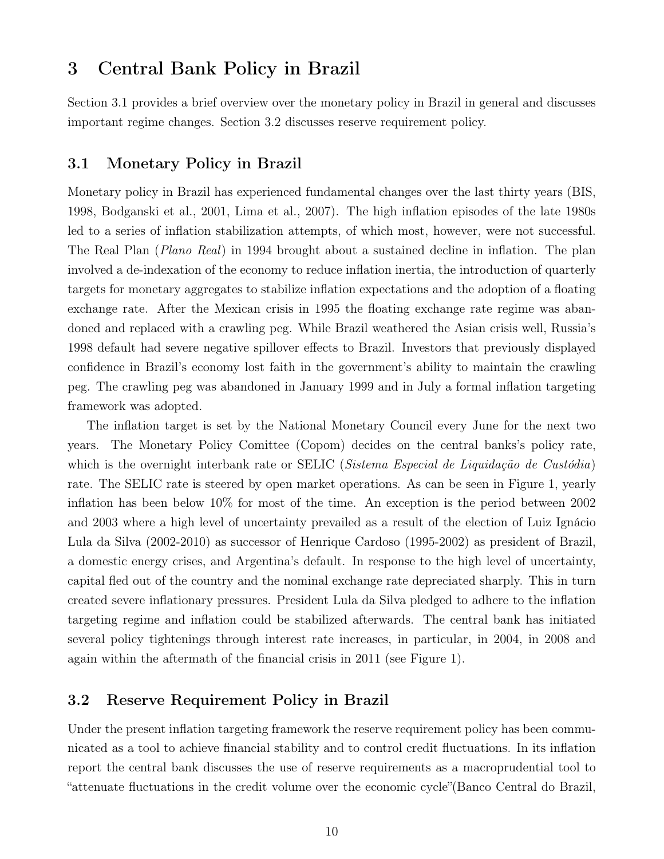### 3 Central Bank Policy in Brazil

Section 3.1 provides a brief overview over the monetary policy in Brazil in general and discusses important regime changes. Section 3.2 discusses reserve requirement policy.

### 3.1 Monetary Policy in Brazil

Monetary policy in Brazil has experienced fundamental changes over the last thirty years (BIS, 1998, Bodganski et al., 2001, Lima et al., 2007). The high inflation episodes of the late 1980s led to a series of inflation stabilization attempts, of which most, however, were not successful. The Real Plan (Plano Real) in 1994 brought about a sustained decline in inflation. The plan involved a de-indexation of the economy to reduce inflation inertia, the introduction of quarterly targets for monetary aggregates to stabilize inflation expectations and the adoption of a floating exchange rate. After the Mexican crisis in 1995 the floating exchange rate regime was abandoned and replaced with a crawling peg. While Brazil weathered the Asian crisis well, Russia's 1998 default had severe negative spillover effects to Brazil. Investors that previously displayed confidence in Brazil's economy lost faith in the government's ability to maintain the crawling peg. The crawling peg was abandoned in January 1999 and in July a formal inflation targeting framework was adopted.

The inflation target is set by the National Monetary Council every June for the next two years. The Monetary Policy Comittee (Copom) decides on the central banks's policy rate, which is the overnight interbank rate or SELIC (Sistema Especial de Liquidação de Custódia) rate. The SELIC rate is steered by open market operations. As can be seen in Figure 1, yearly inflation has been below 10% for most of the time. An exception is the period between 2002 and 2003 where a high level of uncertainty prevailed as a result of the election of Luiz Ignácio Lula da Silva (2002-2010) as successor of Henrique Cardoso (1995-2002) as president of Brazil, a domestic energy crises, and Argentina's default. In response to the high level of uncertainty, capital fled out of the country and the nominal exchange rate depreciated sharply. This in turn created severe inflationary pressures. President Lula da Silva pledged to adhere to the inflation targeting regime and inflation could be stabilized afterwards. The central bank has initiated several policy tightenings through interest rate increases, in particular, in 2004, in 2008 and again within the aftermath of the financial crisis in 2011 (see Figure 1).

### 3.2 Reserve Requirement Policy in Brazil

Under the present inflation targeting framework the reserve requirement policy has been communicated as a tool to achieve financial stability and to control credit fluctuations. In its inflation report the central bank discusses the use of reserve requirements as a macroprudential tool to "attenuate fluctuations in the credit volume over the economic cycle"(Banco Central do Brazil,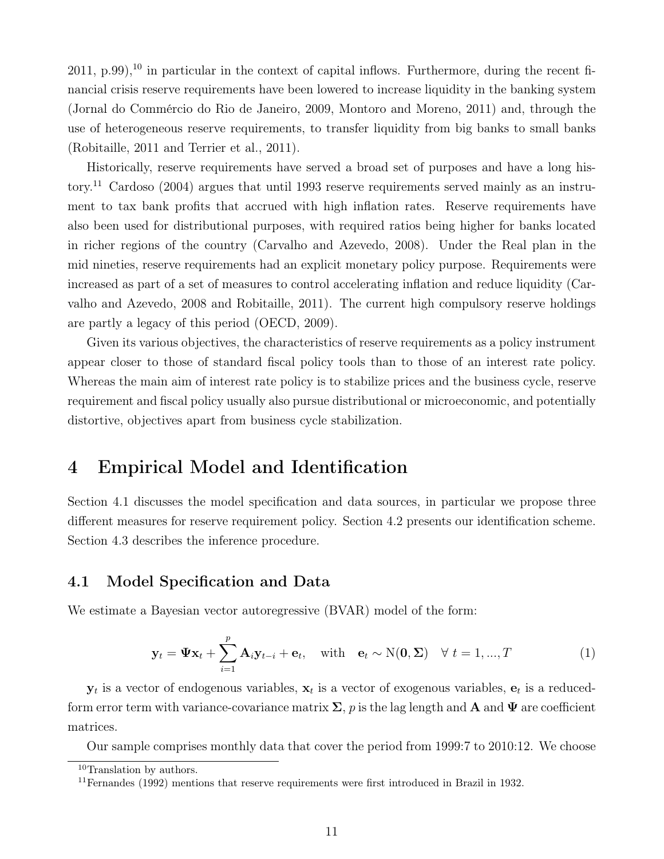$2011$ , p.99),<sup>10</sup> in particular in the context of capital inflows. Furthermore, during the recent financial crisis reserve requirements have been lowered to increase liquidity in the banking system (Jornal do Commércio do Rio de Janeiro, 2009, Montoro and Moreno, 2011) and, through the use of heterogeneous reserve requirements, to transfer liquidity from big banks to small banks (Robitaille, 2011 and Terrier et al., 2011).

Historically, reserve requirements have served a broad set of purposes and have a long history.<sup>11</sup> Cardoso (2004) argues that until 1993 reserve requirements served mainly as an instrument to tax bank profits that accrued with high inflation rates. Reserve requirements have also been used for distributional purposes, with required ratios being higher for banks located in richer regions of the country (Carvalho and Azevedo, 2008). Under the Real plan in the mid nineties, reserve requirements had an explicit monetary policy purpose. Requirements were increased as part of a set of measures to control accelerating inflation and reduce liquidity (Carvalho and Azevedo, 2008 and Robitaille, 2011). The current high compulsory reserve holdings are partly a legacy of this period (OECD, 2009).

Given its various objectives, the characteristics of reserve requirements as a policy instrument appear closer to those of standard fiscal policy tools than to those of an interest rate policy. Whereas the main aim of interest rate policy is to stabilize prices and the business cycle, reserve requirement and fiscal policy usually also pursue distributional or microeconomic, and potentially distortive, objectives apart from business cycle stabilization.

### 4 Empirical Model and Identification

Section 4.1 discusses the model specification and data sources, in particular we propose three different measures for reserve requirement policy. Section 4.2 presents our identification scheme. Section 4.3 describes the inference procedure.

### 4.1 Model Specification and Data

We estimate a Bayesian vector autoregressive (BVAR) model of the form:

$$
\mathbf{y}_t = \mathbf{\Psi} \mathbf{x}_t + \sum_{i=1}^p \mathbf{A}_i \mathbf{y}_{t-i} + \mathbf{e}_t, \quad \text{with} \quad \mathbf{e}_t \sim \mathcal{N}(\mathbf{0}, \Sigma) \quad \forall \ t = 1, ..., T
$$
 (1)

 $y_t$  is a vector of endogenous variables,  $x_t$  is a vector of exogenous variables,  $e_t$  is a reducedform error term with variance-covariance matrix  $\Sigma$ , p is the lag length and A and  $\Psi$  are coefficient matrices.

Our sample comprises monthly data that cover the period from 1999:7 to 2010:12. We choose

<sup>10</sup>Translation by authors.

 $11$ Fernandes (1992) mentions that reserve requirements were first introduced in Brazil in 1932.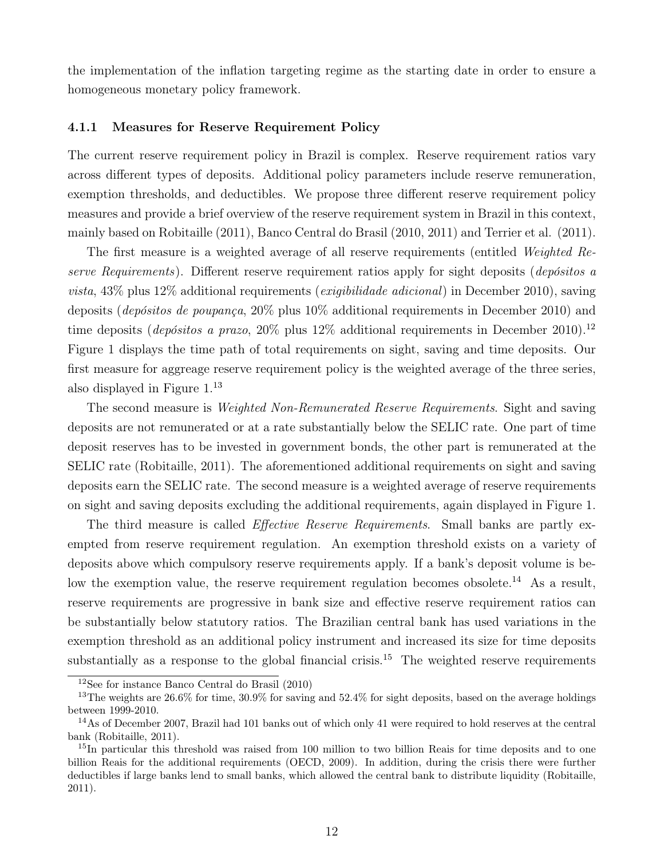the implementation of the inflation targeting regime as the starting date in order to ensure a homogeneous monetary policy framework.

#### 4.1.1 Measures for Reserve Requirement Policy

The current reserve requirement policy in Brazil is complex. Reserve requirement ratios vary across different types of deposits. Additional policy parameters include reserve remuneration, exemption thresholds, and deductibles. We propose three different reserve requirement policy measures and provide a brief overview of the reserve requirement system in Brazil in this context, mainly based on Robitaille (2011), Banco Central do Brasil (2010, 2011) and Terrier et al. (2011).

The first measure is a weighted average of all reserve requirements (entitled Weighted Reserve Requirements). Different reserve requirement ratios apply for sight deposits (depósitos a *vista*,  $43\%$  plus  $12\%$  additional requirements (*exigibilidade adicional*) in December 2010), saving deposits (depósitos de poupança, 20% plus 10% additional requirements in December 2010) and time deposits (*depósitos a prazo*,  $20\%$  plus  $12\%$  additional requirements in December 2010).<sup>12</sup> Figure 1 displays the time path of total requirements on sight, saving and time deposits. Our first measure for aggreage reserve requirement policy is the weighted average of the three series, also displayed in Figure 1.<sup>13</sup>

The second measure is Weighted Non-Remunerated Reserve Requirements. Sight and saving deposits are not remunerated or at a rate substantially below the SELIC rate. One part of time deposit reserves has to be invested in government bonds, the other part is remunerated at the SELIC rate (Robitaille, 2011). The aforementioned additional requirements on sight and saving deposits earn the SELIC rate. The second measure is a weighted average of reserve requirements on sight and saving deposits excluding the additional requirements, again displayed in Figure 1.

The third measure is called *Effective Reserve Requirements*. Small banks are partly exempted from reserve requirement regulation. An exemption threshold exists on a variety of deposits above which compulsory reserve requirements apply. If a bank's deposit volume is below the exemption value, the reserve requirement regulation becomes obsolete.<sup>14</sup> As a result, reserve requirements are progressive in bank size and effective reserve requirement ratios can be substantially below statutory ratios. The Brazilian central bank has used variations in the exemption threshold as an additional policy instrument and increased its size for time deposits substantially as a response to the global financial crisis.<sup>15</sup> The weighted reserve requirements

<sup>12</sup>See for instance Banco Central do Brasil (2010)

<sup>&</sup>lt;sup>13</sup>The weights are 26.6% for time, 30.9% for saving and 52.4% for sight deposits, based on the average holdings between 1999-2010.

<sup>14</sup>As of December 2007, Brazil had 101 banks out of which only 41 were required to hold reserves at the central bank (Robitaille, 2011).

<sup>&</sup>lt;sup>15</sup>In particular this threshold was raised from 100 million to two billion Reais for time deposits and to one billion Reais for the additional requirements (OECD, 2009). In addition, during the crisis there were further deductibles if large banks lend to small banks, which allowed the central bank to distribute liquidity (Robitaille, 2011).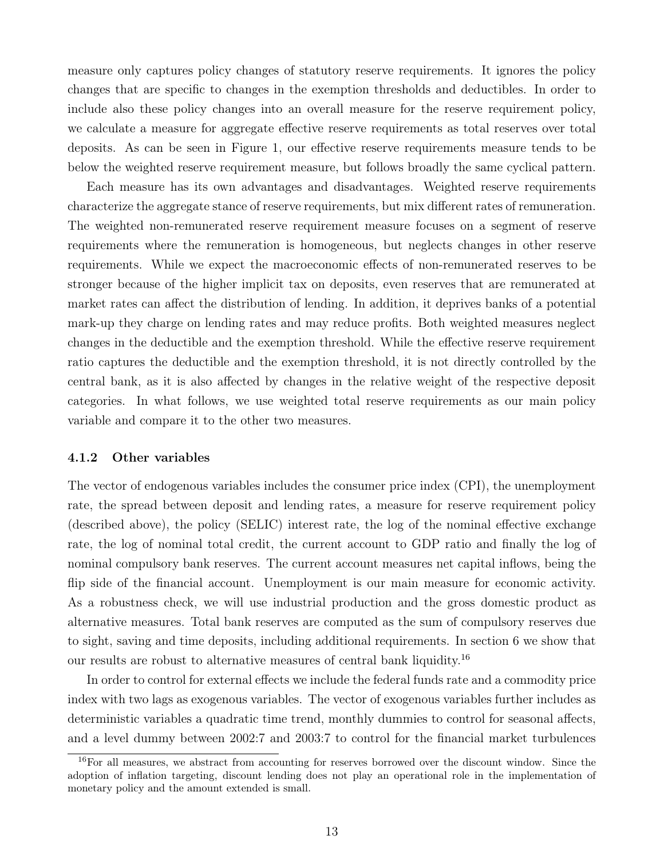measure only captures policy changes of statutory reserve requirements. It ignores the policy changes that are specific to changes in the exemption thresholds and deductibles. In order to include also these policy changes into an overall measure for the reserve requirement policy, we calculate a measure for aggregate effective reserve requirements as total reserves over total deposits. As can be seen in Figure 1, our effective reserve requirements measure tends to be below the weighted reserve requirement measure, but follows broadly the same cyclical pattern.

Each measure has its own advantages and disadvantages. Weighted reserve requirements characterize the aggregate stance of reserve requirements, but mix different rates of remuneration. The weighted non-remunerated reserve requirement measure focuses on a segment of reserve requirements where the remuneration is homogeneous, but neglects changes in other reserve requirements. While we expect the macroeconomic effects of non-remunerated reserves to be stronger because of the higher implicit tax on deposits, even reserves that are remunerated at market rates can affect the distribution of lending. In addition, it deprives banks of a potential mark-up they charge on lending rates and may reduce profits. Both weighted measures neglect changes in the deductible and the exemption threshold. While the effective reserve requirement ratio captures the deductible and the exemption threshold, it is not directly controlled by the central bank, as it is also affected by changes in the relative weight of the respective deposit categories. In what follows, we use weighted total reserve requirements as our main policy variable and compare it to the other two measures.

#### 4.1.2 Other variables

The vector of endogenous variables includes the consumer price index (CPI), the unemployment rate, the spread between deposit and lending rates, a measure for reserve requirement policy (described above), the policy (SELIC) interest rate, the log of the nominal effective exchange rate, the log of nominal total credit, the current account to GDP ratio and finally the log of nominal compulsory bank reserves. The current account measures net capital inflows, being the flip side of the financial account. Unemployment is our main measure for economic activity. As a robustness check, we will use industrial production and the gross domestic product as alternative measures. Total bank reserves are computed as the sum of compulsory reserves due to sight, saving and time deposits, including additional requirements. In section 6 we show that our results are robust to alternative measures of central bank liquidity.<sup>16</sup>

In order to control for external effects we include the federal funds rate and a commodity price index with two lags as exogenous variables. The vector of exogenous variables further includes as deterministic variables a quadratic time trend, monthly dummies to control for seasonal affects, and a level dummy between 2002:7 and 2003:7 to control for the financial market turbulences

<sup>&</sup>lt;sup>16</sup>For all measures, we abstract from accounting for reserves borrowed over the discount window. Since the adoption of inflation targeting, discount lending does not play an operational role in the implementation of monetary policy and the amount extended is small.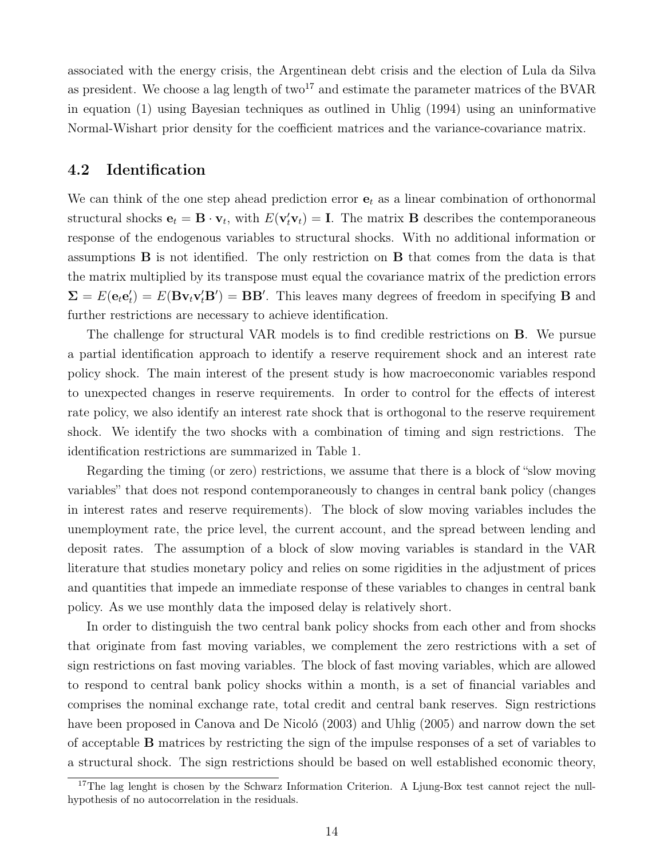associated with the energy crisis, the Argentinean debt crisis and the election of Lula da Silva as president. We choose a lag length of two<sup>17</sup> and estimate the parameter matrices of the BVAR in equation (1) using Bayesian techniques as outlined in Uhlig (1994) using an uninformative Normal-Wishart prior density for the coefficient matrices and the variance-covariance matrix.

### 4.2 Identification

We can think of the one step ahead prediction error  $e_t$  as a linear combination of orthonormal structural shocks  $\mathbf{e}_t = \mathbf{B} \cdot \mathbf{v}_t$ , with  $E(\mathbf{v}_t' \mathbf{v}_t) = \mathbf{I}$ . The matrix **B** describes the contemporaneous response of the endogenous variables to structural shocks. With no additional information or assumptions B is not identified. The only restriction on B that comes from the data is that the matrix multiplied by its transpose must equal the covariance matrix of the prediction errors  $\Sigma = E(\mathbf{e}_t \mathbf{e}'_t) = E(\mathbf{B} \mathbf{v}_t \mathbf{v}'_t \mathbf{B}') = \mathbf{B} \mathbf{B}'$ . This leaves many degrees of freedom in specifying **B** and further restrictions are necessary to achieve identification.

The challenge for structural VAR models is to find credible restrictions on B. We pursue a partial identification approach to identify a reserve requirement shock and an interest rate policy shock. The main interest of the present study is how macroeconomic variables respond to unexpected changes in reserve requirements. In order to control for the effects of interest rate policy, we also identify an interest rate shock that is orthogonal to the reserve requirement shock. We identify the two shocks with a combination of timing and sign restrictions. The identification restrictions are summarized in Table 1.

Regarding the timing (or zero) restrictions, we assume that there is a block of "slow moving variables" that does not respond contemporaneously to changes in central bank policy (changes in interest rates and reserve requirements). The block of slow moving variables includes the unemployment rate, the price level, the current account, and the spread between lending and deposit rates. The assumption of a block of slow moving variables is standard in the VAR literature that studies monetary policy and relies on some rigidities in the adjustment of prices and quantities that impede an immediate response of these variables to changes in central bank policy. As we use monthly data the imposed delay is relatively short.

In order to distinguish the two central bank policy shocks from each other and from shocks that originate from fast moving variables, we complement the zero restrictions with a set of sign restrictions on fast moving variables. The block of fast moving variables, which are allowed to respond to central bank policy shocks within a month, is a set of financial variables and comprises the nominal exchange rate, total credit and central bank reserves. Sign restrictions have been proposed in Canova and De Nicoló (2003) and Uhlig (2005) and narrow down the set of acceptable B matrices by restricting the sign of the impulse responses of a set of variables to a structural shock. The sign restrictions should be based on well established economic theory,

<sup>&</sup>lt;sup>17</sup>The lag lenght is chosen by the Schwarz Information Criterion. A Ljung-Box test cannot reject the nullhypothesis of no autocorrelation in the residuals.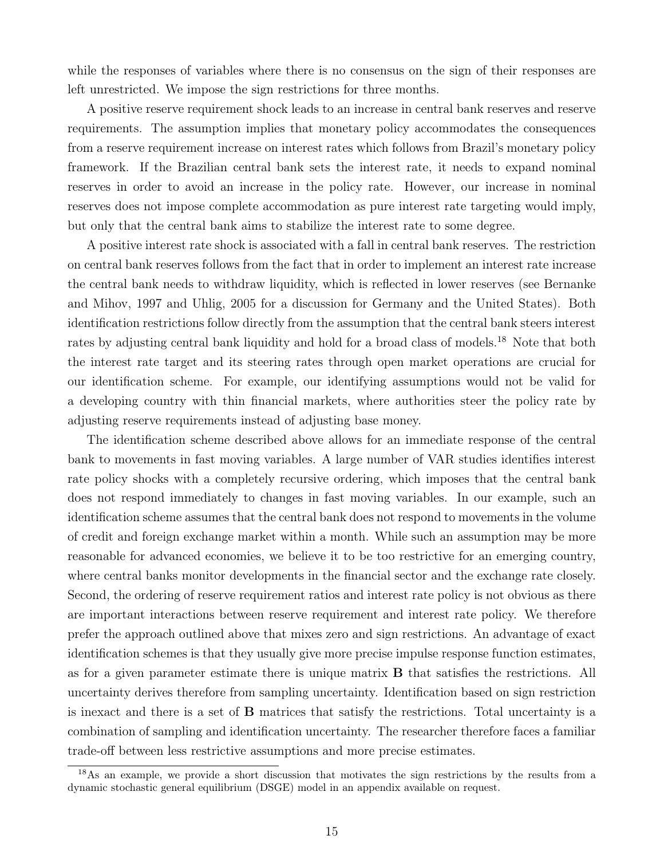while the responses of variables where there is no consensus on the sign of their responses are left unrestricted. We impose the sign restrictions for three months.

A positive reserve requirement shock leads to an increase in central bank reserves and reserve requirements. The assumption implies that monetary policy accommodates the consequences from a reserve requirement increase on interest rates which follows from Brazil's monetary policy framework. If the Brazilian central bank sets the interest rate, it needs to expand nominal reserves in order to avoid an increase in the policy rate. However, our increase in nominal reserves does not impose complete accommodation as pure interest rate targeting would imply, but only that the central bank aims to stabilize the interest rate to some degree.

A positive interest rate shock is associated with a fall in central bank reserves. The restriction on central bank reserves follows from the fact that in order to implement an interest rate increase the central bank needs to withdraw liquidity, which is reflected in lower reserves (see Bernanke and Mihov, 1997 and Uhlig, 2005 for a discussion for Germany and the United States). Both identification restrictions follow directly from the assumption that the central bank steers interest rates by adjusting central bank liquidity and hold for a broad class of models.<sup>18</sup> Note that both the interest rate target and its steering rates through open market operations are crucial for our identification scheme. For example, our identifying assumptions would not be valid for a developing country with thin financial markets, where authorities steer the policy rate by adjusting reserve requirements instead of adjusting base money.

The identification scheme described above allows for an immediate response of the central bank to movements in fast moving variables. A large number of VAR studies identifies interest rate policy shocks with a completely recursive ordering, which imposes that the central bank does not respond immediately to changes in fast moving variables. In our example, such an identification scheme assumes that the central bank does not respond to movements in the volume of credit and foreign exchange market within a month. While such an assumption may be more reasonable for advanced economies, we believe it to be too restrictive for an emerging country, where central banks monitor developments in the financial sector and the exchange rate closely. Second, the ordering of reserve requirement ratios and interest rate policy is not obvious as there are important interactions between reserve requirement and interest rate policy. We therefore prefer the approach outlined above that mixes zero and sign restrictions. An advantage of exact identification schemes is that they usually give more precise impulse response function estimates, as for a given parameter estimate there is unique matrix B that satisfies the restrictions. All uncertainty derives therefore from sampling uncertainty. Identification based on sign restriction is inexact and there is a set of B matrices that satisfy the restrictions. Total uncertainty is a combination of sampling and identification uncertainty. The researcher therefore faces a familiar trade-off between less restrictive assumptions and more precise estimates.

<sup>18</sup>As an example, we provide a short discussion that motivates the sign restrictions by the results from a dynamic stochastic general equilibrium (DSGE) model in an appendix available on request.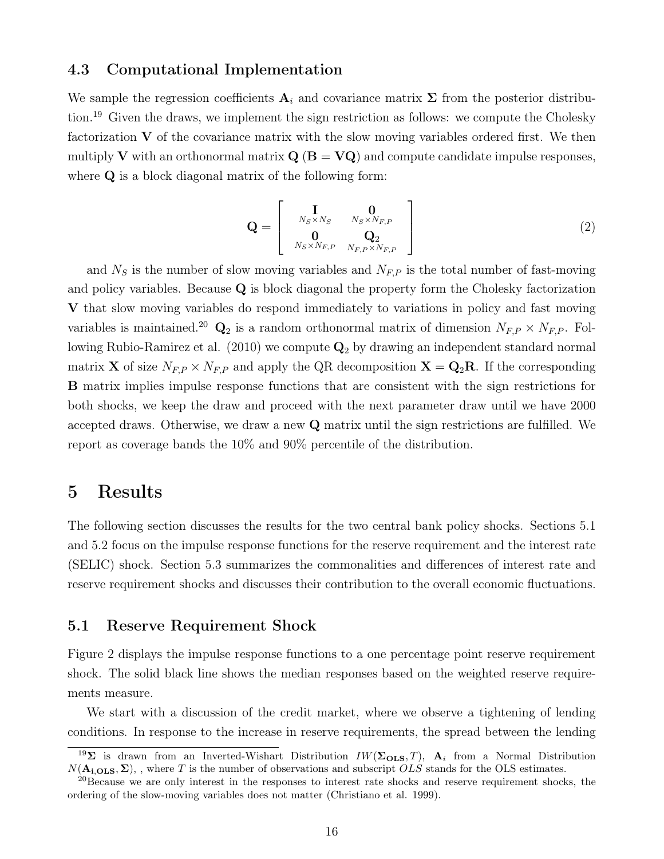#### 4.3 Computational Implementation

We sample the regression coefficients  $A_i$  and covariance matrix  $\Sigma$  from the posterior distribution.<sup>19</sup> Given the draws, we implement the sign restriction as follows: we compute the Cholesky factorization  $V$  of the covariance matrix with the slow moving variables ordered first. We then multiply V with an orthonormal matrix  $Q(B = VQ)$  and compute candidate impulse responses, where **Q** is a block diagonal matrix of the following form:

$$
\mathbf{Q} = \begin{bmatrix} \mathbf{I} & \mathbf{0} \\ \mathbf{N}_S \times \mathbf{N}_S & \mathbf{N}_S \times \mathbf{N}_{F,P} \\ \mathbf{0} & \mathbf{Q}_2 \\ \mathbf{N}_S \times \mathbf{N}_{F,P} & \mathbf{N}_{F,P} \times \mathbf{N}_{F,P} \end{bmatrix}
$$
(2)

and  $N<sub>S</sub>$  is the number of slow moving variables and  $N<sub>F,P</sub>$  is the total number of fast-moving and policy variables. Because Q is block diagonal the property form the Cholesky factorization V that slow moving variables do respond immediately to variations in policy and fast moving variables is maintained.<sup>20</sup>  $\mathbf{Q}_2$  is a random orthonormal matrix of dimension  $N_{F,P} \times N_{F,P}$ . Following Rubio-Ramirez et al.  $(2010)$  we compute  $\mathbf{Q}_2$  by drawing an independent standard normal matrix **X** of size  $N_{F,P} \times N_{F,P}$  and apply the QR decomposition  $\mathbf{X} = \mathbf{Q}_2 \mathbf{R}$ . If the corresponding B matrix implies impulse response functions that are consistent with the sign restrictions for both shocks, we keep the draw and proceed with the next parameter draw until we have 2000 accepted draws. Otherwise, we draw a new Q matrix until the sign restrictions are fulfilled. We report as coverage bands the 10% and 90% percentile of the distribution.

### 5 Results

The following section discusses the results for the two central bank policy shocks. Sections 5.1 and 5.2 focus on the impulse response functions for the reserve requirement and the interest rate (SELIC) shock. Section 5.3 summarizes the commonalities and differences of interest rate and reserve requirement shocks and discusses their contribution to the overall economic fluctuations.

### 5.1 Reserve Requirement Shock

Figure 2 displays the impulse response functions to a one percentage point reserve requirement shock. The solid black line shows the median responses based on the weighted reserve requirements measure.

We start with a discussion of the credit market, where we observe a tightening of lending conditions. In response to the increase in reserve requirements, the spread between the lending

<sup>&</sup>lt;sup>19</sup>Σ is drawn from an Inverted-Wishart Distribution  $IW(\Sigma_{OLS}, T)$ , A<sub>i</sub> from a Normal Distribution  $N(\mathbf{A_i} \cdot \mathbf{OLS} \times \mathbf{\Sigma})$ , where T is the number of observations and subscript OLS stands for the OLS estimates.

<sup>&</sup>lt;sup>20</sup>Because we are only interest in the responses to interest rate shocks and reserve requirement shocks, the ordering of the slow-moving variables does not matter (Christiano et al. 1999).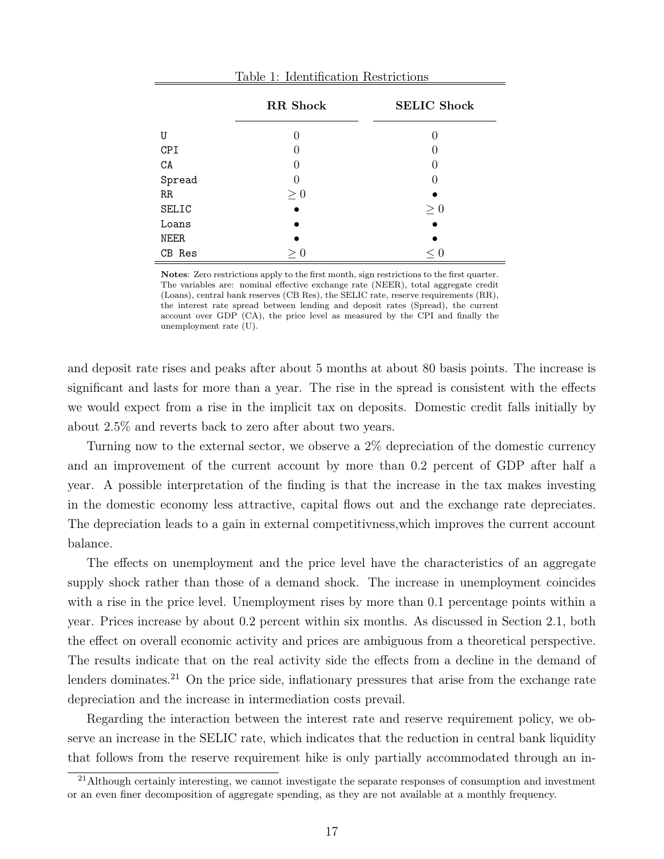| Table 1: Identification Restrictions |                 |                    |  |  |
|--------------------------------------|-----------------|--------------------|--|--|
|                                      | <b>RR</b> Shock | <b>SELIC Shock</b> |  |  |
| U                                    |                 |                    |  |  |
| <b>CPI</b>                           |                 |                    |  |  |
| CA                                   |                 |                    |  |  |
| Spread                               |                 |                    |  |  |
| $_{\rm RR}$                          | $\geq 0$        |                    |  |  |
| SELIC                                |                 | $\geq 0$           |  |  |
| Loans                                |                 |                    |  |  |
| NEER                                 |                 |                    |  |  |
| CB Res                               | $\geq 0$        |                    |  |  |

Notes: Zero restrictions apply to the first month, sign restrictions to the first quarter. The variables are: nominal effective exchange rate (NEER), total aggregate credit (Loans), central bank reserves (CB Res), the SELIC rate, reserve requirements (RR), the interest rate spread between lending and deposit rates (Spread), the current account over GDP (CA), the price level as measured by the CPI and finally the unemployment rate (U).

and deposit rate rises and peaks after about 5 months at about 80 basis points. The increase is significant and lasts for more than a year. The rise in the spread is consistent with the effects we would expect from a rise in the implicit tax on deposits. Domestic credit falls initially by about 2.5% and reverts back to zero after about two years.

Turning now to the external sector, we observe a 2% depreciation of the domestic currency and an improvement of the current account by more than 0.2 percent of GDP after half a year. A possible interpretation of the finding is that the increase in the tax makes investing in the domestic economy less attractive, capital flows out and the exchange rate depreciates. The depreciation leads to a gain in external competitivness,which improves the current account balance.

The effects on unemployment and the price level have the characteristics of an aggregate supply shock rather than those of a demand shock. The increase in unemployment coincides with a rise in the price level. Unemployment rises by more than 0.1 percentage points within a year. Prices increase by about 0.2 percent within six months. As discussed in Section 2.1, both the effect on overall economic activity and prices are ambiguous from a theoretical perspective. The results indicate that on the real activity side the effects from a decline in the demand of lenders dominates.<sup>21</sup> On the price side, inflationary pressures that arise from the exchange rate depreciation and the increase in intermediation costs prevail.

Regarding the interaction between the interest rate and reserve requirement policy, we observe an increase in the SELIC rate, which indicates that the reduction in central bank liquidity that follows from the reserve requirement hike is only partially accommodated through an in-

<sup>&</sup>lt;sup>21</sup>Although certainly interesting, we cannot investigate the separate responses of consumption and investment or an even finer decomposition of aggregate spending, as they are not available at a monthly frequency.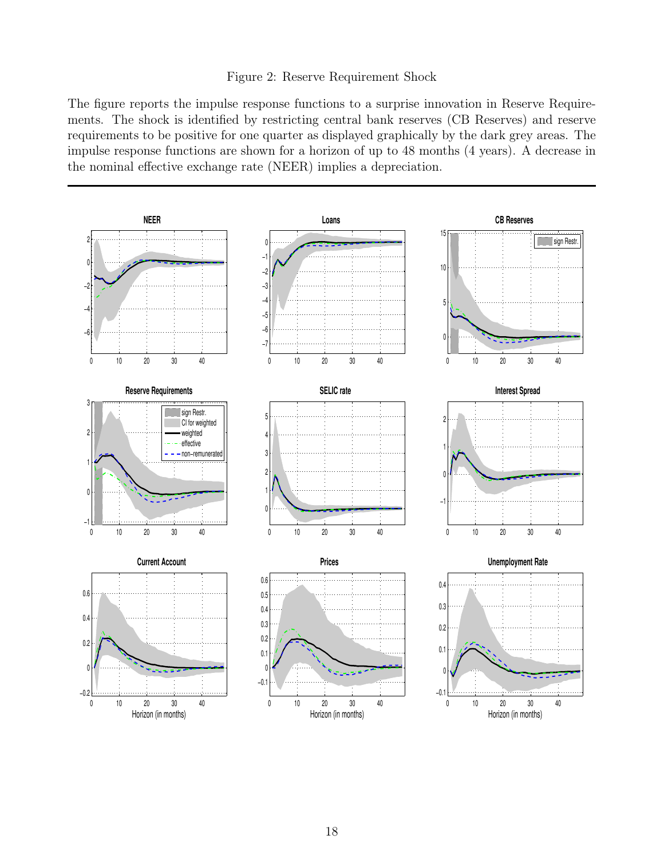#### Figure 2: Reserve Requirement Shock

The figure reports the impulse response functions to a surprise innovation in Reserve Requirements. The shock is identified by restricting central bank reserves (CB Reserves) and reserve requirements to be positive for one quarter as displayed graphically by the dark grey areas. The impulse response functions are shown for a horizon of up to 48 months (4 years). A decrease in the nominal effective exchange rate (NEER) implies a depreciation.

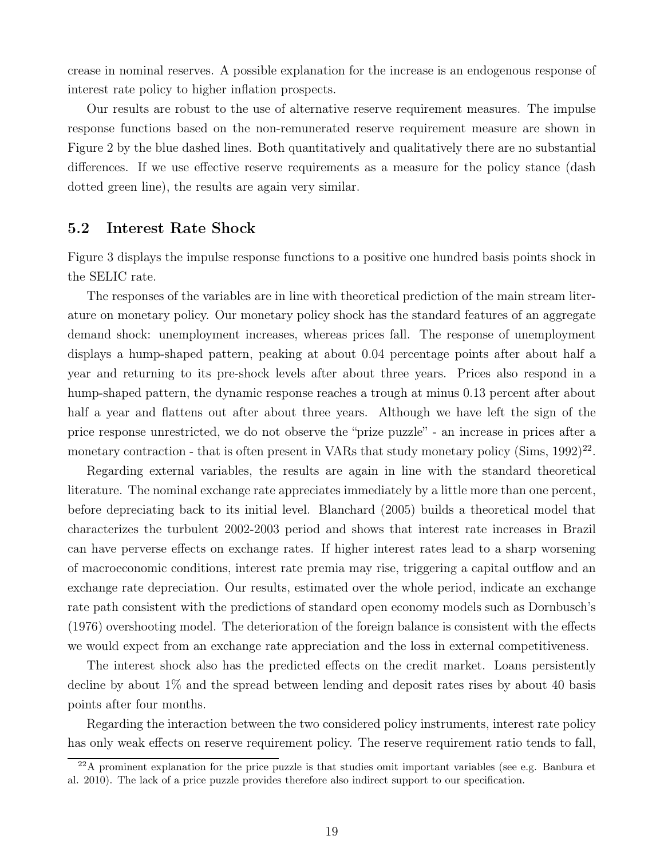crease in nominal reserves. A possible explanation for the increase is an endogenous response of interest rate policy to higher inflation prospects.

Our results are robust to the use of alternative reserve requirement measures. The impulse response functions based on the non-remunerated reserve requirement measure are shown in Figure 2 by the blue dashed lines. Both quantitatively and qualitatively there are no substantial differences. If we use effective reserve requirements as a measure for the policy stance (dash dotted green line), the results are again very similar.

### 5.2 Interest Rate Shock

Figure 3 displays the impulse response functions to a positive one hundred basis points shock in the SELIC rate.

The responses of the variables are in line with theoretical prediction of the main stream literature on monetary policy. Our monetary policy shock has the standard features of an aggregate demand shock: unemployment increases, whereas prices fall. The response of unemployment displays a hump-shaped pattern, peaking at about 0.04 percentage points after about half a year and returning to its pre-shock levels after about three years. Prices also respond in a hump-shaped pattern, the dynamic response reaches a trough at minus 0.13 percent after about half a year and flattens out after about three years. Although we have left the sign of the price response unrestricted, we do not observe the "prize puzzle" - an increase in prices after a monetary contraction - that is often present in VARs that study monetary policy (Sims,  $1992)^{22}$ .

Regarding external variables, the results are again in line with the standard theoretical literature. The nominal exchange rate appreciates immediately by a little more than one percent, before depreciating back to its initial level. Blanchard (2005) builds a theoretical model that characterizes the turbulent 2002-2003 period and shows that interest rate increases in Brazil can have perverse effects on exchange rates. If higher interest rates lead to a sharp worsening of macroeconomic conditions, interest rate premia may rise, triggering a capital outflow and an exchange rate depreciation. Our results, estimated over the whole period, indicate an exchange rate path consistent with the predictions of standard open economy models such as Dornbusch's (1976) overshooting model. The deterioration of the foreign balance is consistent with the effects we would expect from an exchange rate appreciation and the loss in external competitiveness.

The interest shock also has the predicted effects on the credit market. Loans persistently decline by about 1% and the spread between lending and deposit rates rises by about 40 basis points after four months.

Regarding the interaction between the two considered policy instruments, interest rate policy has only weak effects on reserve requirement policy. The reserve requirement ratio tends to fall,

 $^{22}$ A prominent explanation for the price puzzle is that studies omit important variables (see e.g. Banbura et al. 2010). The lack of a price puzzle provides therefore also indirect support to our specification.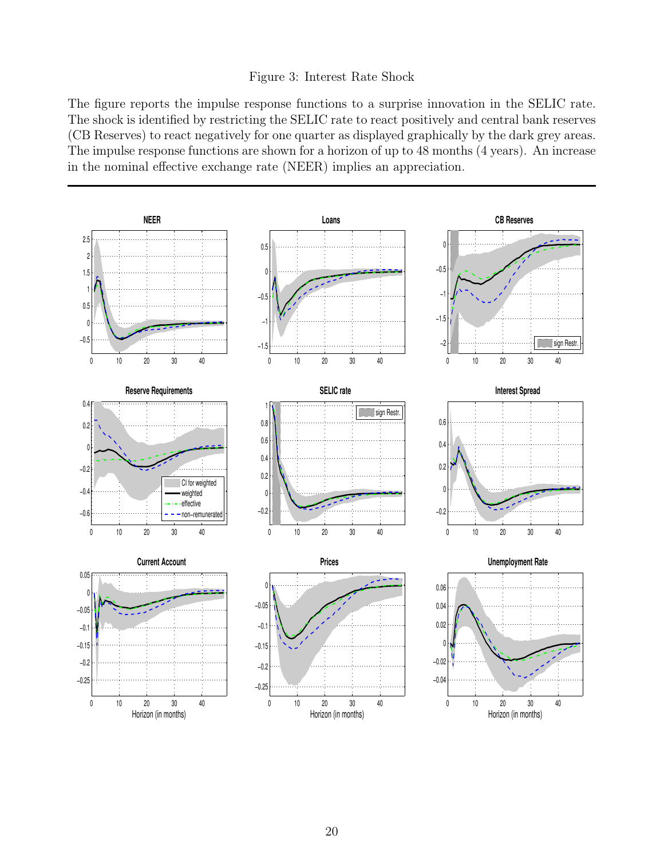### Figure 3: Interest Rate Shock

The figure reports the impulse response functions to a surprise innovation in the SELIC rate. The shock is identified by restricting the SELIC rate to react positively and central bank reserves (CB Reserves) to react negatively for one quarter as displayed graphically by the dark grey areas. The impulse response functions are shown for a horizon of up to 48 months (4 years). An increase in the nominal effective exchange rate (NEER) implies an appreciation.

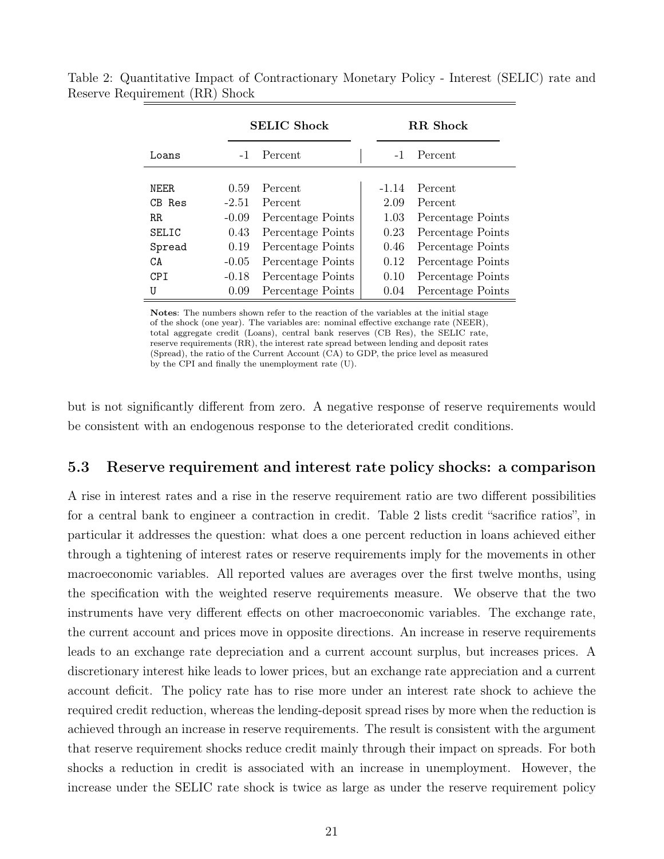|            |         | <b>SELIC Shock</b> |  |       | <b>RR</b> Shock   |  |  |
|------------|---------|--------------------|--|-------|-------------------|--|--|
| Loans      |         | -1 Percent         |  | $-1$  | Percent           |  |  |
|            |         |                    |  |       |                   |  |  |
| NEER.      | 0.59    | Percent            |  | -1.14 | Percent           |  |  |
| CB Res     | $-2.51$ | Percent            |  | 2.09  | Percent           |  |  |
| R.R.       | $-0.09$ | Percentage Points  |  | 1.03  | Percentage Points |  |  |
| SELTC      | 0.43    | Percentage Points  |  | 0.23  | Percentage Points |  |  |
| Spread     | 0.19    | Percentage Points  |  | 0.46  | Percentage Points |  |  |
| CA         | $-0.05$ | Percentage Points  |  | 0.12  | Percentage Points |  |  |
| <b>CPT</b> | $-0.18$ | Percentage Points  |  | 0.10  | Percentage Points |  |  |
| U          | 0.09    | Percentage Points  |  | 0.04  | Percentage Points |  |  |

Table 2: Quantitative Impact of Contractionary Monetary Policy - Interest (SELIC) rate and Reserve Requirement (RR) Shock

Notes: The numbers shown refer to the reaction of the variables at the initial stage of the shock (one year). The variables are: nominal effective exchange rate (NEER), total aggregate credit (Loans), central bank reserves (CB Res), the SELIC rate, reserve requirements (RR), the interest rate spread between lending and deposit rates (Spread), the ratio of the Current Account (CA) to GDP, the price level as measured by the CPI and finally the unemployment rate (U).

but is not significantly different from zero. A negative response of reserve requirements would be consistent with an endogenous response to the deteriorated credit conditions.

### 5.3 Reserve requirement and interest rate policy shocks: a comparison

A rise in interest rates and a rise in the reserve requirement ratio are two different possibilities for a central bank to engineer a contraction in credit. Table 2 lists credit "sacrifice ratios", in particular it addresses the question: what does a one percent reduction in loans achieved either through a tightening of interest rates or reserve requirements imply for the movements in other macroeconomic variables. All reported values are averages over the first twelve months, using the specification with the weighted reserve requirements measure. We observe that the two instruments have very different effects on other macroeconomic variables. The exchange rate, the current account and prices move in opposite directions. An increase in reserve requirements leads to an exchange rate depreciation and a current account surplus, but increases prices. A discretionary interest hike leads to lower prices, but an exchange rate appreciation and a current account deficit. The policy rate has to rise more under an interest rate shock to achieve the required credit reduction, whereas the lending-deposit spread rises by more when the reduction is achieved through an increase in reserve requirements. The result is consistent with the argument that reserve requirement shocks reduce credit mainly through their impact on spreads. For both shocks a reduction in credit is associated with an increase in unemployment. However, the increase under the SELIC rate shock is twice as large as under the reserve requirement policy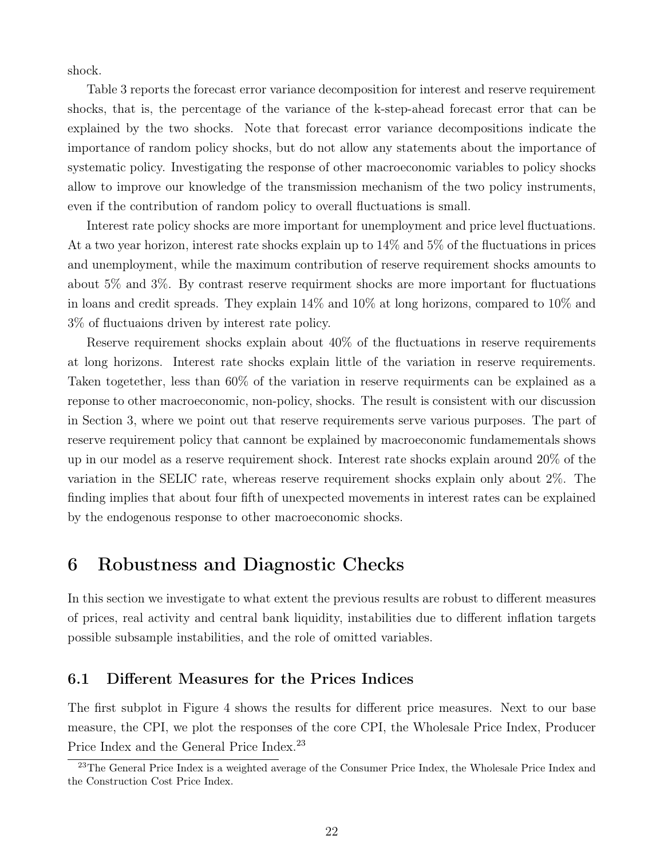shock.

Table 3 reports the forecast error variance decomposition for interest and reserve requirement shocks, that is, the percentage of the variance of the k-step-ahead forecast error that can be explained by the two shocks. Note that forecast error variance decompositions indicate the importance of random policy shocks, but do not allow any statements about the importance of systematic policy. Investigating the response of other macroeconomic variables to policy shocks allow to improve our knowledge of the transmission mechanism of the two policy instruments, even if the contribution of random policy to overall fluctuations is small.

Interest rate policy shocks are more important for unemployment and price level fluctuations. At a two year horizon, interest rate shocks explain up to 14% and 5% of the fluctuations in prices and unemployment, while the maximum contribution of reserve requirement shocks amounts to about 5% and 3%. By contrast reserve requirment shocks are more important for fluctuations in loans and credit spreads. They explain 14% and 10% at long horizons, compared to 10% and 3% of fluctuaions driven by interest rate policy.

Reserve requirement shocks explain about 40% of the fluctuations in reserve requirements at long horizons. Interest rate shocks explain little of the variation in reserve requirements. Taken togetether, less than 60% of the variation in reserve requirments can be explained as a reponse to other macroeconomic, non-policy, shocks. The result is consistent with our discussion in Section 3, where we point out that reserve requirements serve various purposes. The part of reserve requirement policy that cannont be explained by macroeconomic fundamementals shows up in our model as a reserve requirement shock. Interest rate shocks explain around 20% of the variation in the SELIC rate, whereas reserve requirement shocks explain only about 2%. The finding implies that about four fifth of unexpected movements in interest rates can be explained by the endogenous response to other macroeconomic shocks.

### 6 Robustness and Diagnostic Checks

In this section we investigate to what extent the previous results are robust to different measures of prices, real activity and central bank liquidity, instabilities due to different inflation targets possible subsample instabilities, and the role of omitted variables.

### 6.1 Different Measures for the Prices Indices

The first subplot in Figure 4 shows the results for different price measures. Next to our base measure, the CPI, we plot the responses of the core CPI, the Wholesale Price Index, Producer Price Index and the General Price Index.<sup>23</sup>

<sup>&</sup>lt;sup>23</sup>The General Price Index is a weighted average of the Consumer Price Index, the Wholesale Price Index and the Construction Cost Price Index.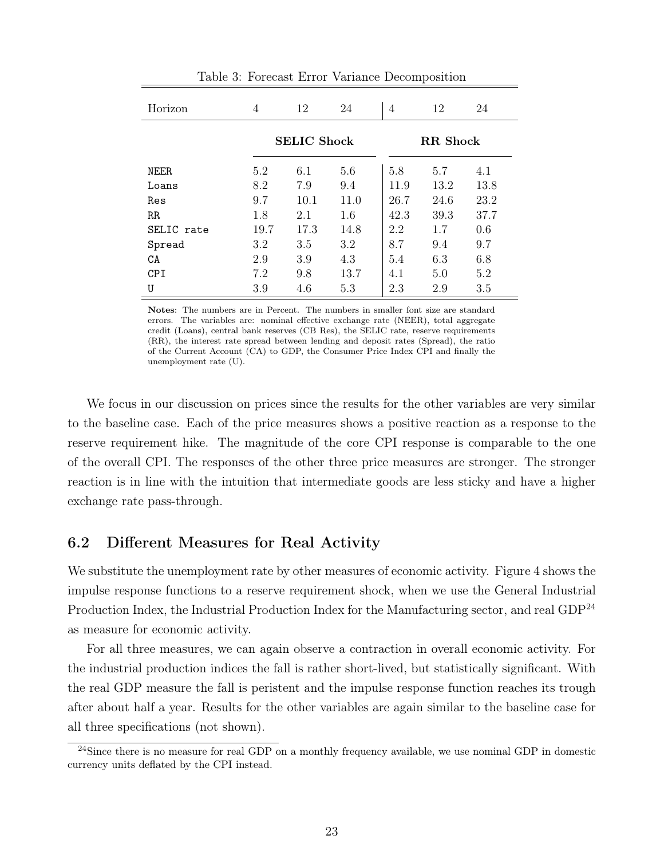| Horizon     | 4    | 12                 | 24   | 4               | 12   | 24   |
|-------------|------|--------------------|------|-----------------|------|------|
|             |      | <b>SELIC Shock</b> |      | <b>RR</b> Shock |      |      |
| <b>NEER</b> | 5.2  | 6.1                | 5.6  | 5.8             | 5.7  | 4.1  |
| Loans       | 8.2  | 7.9                | 9.4  | 11.9            | 13.2 | 13.8 |
| Res         | 9.7  | 10.1               | 11.0 | 26.7            | 24.6 | 23.2 |
| RR          | 1.8  | 2.1                | 1.6  | 42.3            | 39.3 | 37.7 |
| SELIC rate  | 19.7 | 17.3               | 14.8 | 2.2             | 1.7  | 0.6  |
| Spread      | 3.2  | 3.5                | 3.2  | 8.7             | 9.4  | 9.7  |
| CA          | 2.9  | 3.9                | 4.3  | 5.4             | 6.3  | 6.8  |
| <b>CPI</b>  | 7.2  | 9.8                | 13.7 | 4.1             | 5.0  | 5.2  |
| U           | 3.9  | 4.6                | 5.3  | 2.3             | 2.9  | 3.5  |

Table 3: Forecast Error Variance Decomposition

Notes: The numbers are in Percent. The numbers in smaller font size are standard errors. The variables are: nominal effective exchange rate (NEER), total aggregate credit (Loans), central bank reserves (CB Res), the SELIC rate, reserve requirements (RR), the interest rate spread between lending and deposit rates (Spread), the ratio of the Current Account (CA) to GDP, the Consumer Price Index CPI and finally the unemployment rate (U).

We focus in our discussion on prices since the results for the other variables are very similar to the baseline case. Each of the price measures shows a positive reaction as a response to the reserve requirement hike. The magnitude of the core CPI response is comparable to the one of the overall CPI. The responses of the other three price measures are stronger. The stronger reaction is in line with the intuition that intermediate goods are less sticky and have a higher exchange rate pass-through.

### 6.2 Different Measures for Real Activity

We substitute the unemployment rate by other measures of economic activity. Figure 4 shows the impulse response functions to a reserve requirement shock, when we use the General Industrial Production Index, the Industrial Production Index for the Manufacturing sector, and real GDP<sup>24</sup> as measure for economic activity.

For all three measures, we can again observe a contraction in overall economic activity. For the industrial production indices the fall is rather short-lived, but statistically significant. With the real GDP measure the fall is peristent and the impulse response function reaches its trough after about half a year. Results for the other variables are again similar to the baseline case for all three specifications (not shown).

<sup>&</sup>lt;sup>24</sup>Since there is no measure for real GDP on a monthly frequency available, we use nominal GDP in domestic currency units deflated by the CPI instead.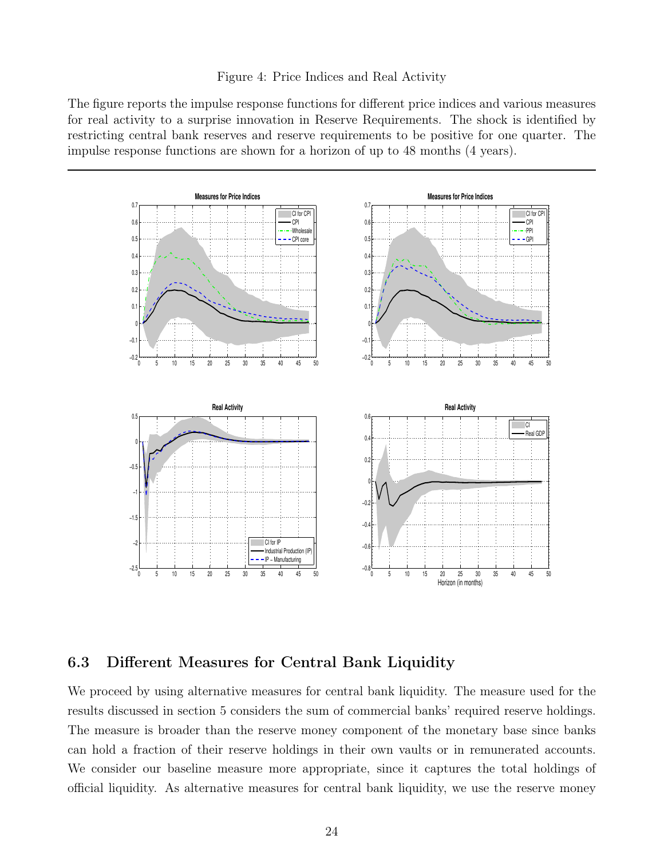

The figure reports the impulse response functions for different price indices and various measures for real activity to a surprise innovation in Reserve Requirements. The shock is identified by restricting central bank reserves and reserve requirements to be positive for one quarter. The impulse response functions are shown for a horizon of up to 48 months (4 years).



### 6.3 Different Measures for Central Bank Liquidity

We proceed by using alternative measures for central bank liquidity. The measure used for the results discussed in section 5 considers the sum of commercial banks' required reserve holdings. The measure is broader than the reserve money component of the monetary base since banks can hold a fraction of their reserve holdings in their own vaults or in remunerated accounts. We consider our baseline measure more appropriate, since it captures the total holdings of official liquidity. As alternative measures for central bank liquidity, we use the reserve money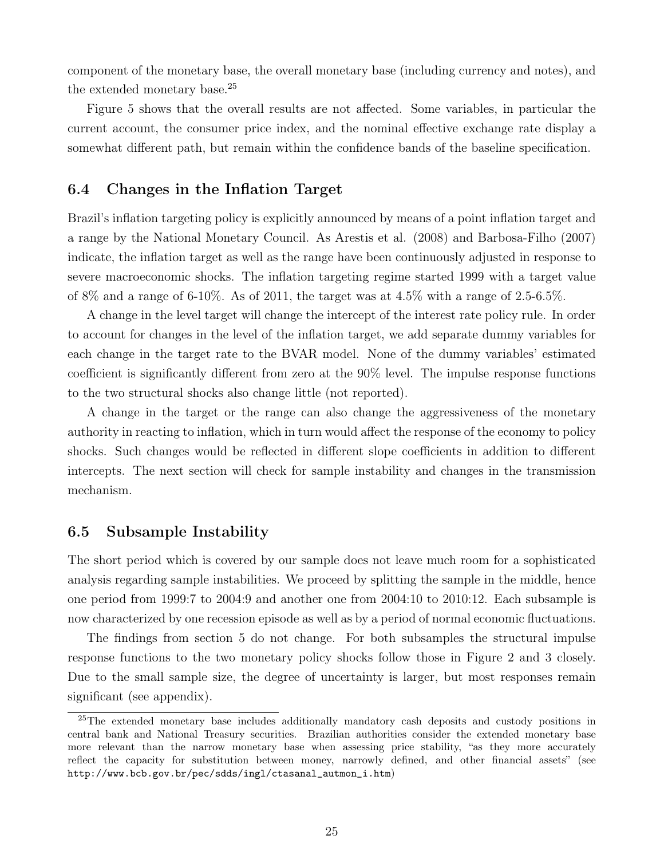component of the monetary base, the overall monetary base (including currency and notes), and the extended monetary base.<sup>25</sup>

Figure 5 shows that the overall results are not affected. Some variables, in particular the current account, the consumer price index, and the nominal effective exchange rate display a somewhat different path, but remain within the confidence bands of the baseline specification.

### 6.4 Changes in the Inflation Target

Brazil's inflation targeting policy is explicitly announced by means of a point inflation target and a range by the National Monetary Council. As Arestis et al. (2008) and Barbosa-Filho (2007) indicate, the inflation target as well as the range have been continuously adjusted in response to severe macroeconomic shocks. The inflation targeting regime started 1999 with a target value of 8% and a range of 6-10%. As of 2011, the target was at  $4.5\%$  with a range of 2.5-6.5%.

A change in the level target will change the intercept of the interest rate policy rule. In order to account for changes in the level of the inflation target, we add separate dummy variables for each change in the target rate to the BVAR model. None of the dummy variables' estimated coefficient is significantly different from zero at the 90% level. The impulse response functions to the two structural shocks also change little (not reported).

A change in the target or the range can also change the aggressiveness of the monetary authority in reacting to inflation, which in turn would affect the response of the economy to policy shocks. Such changes would be reflected in different slope coefficients in addition to different intercepts. The next section will check for sample instability and changes in the transmission mechanism.

### 6.5 Subsample Instability

The short period which is covered by our sample does not leave much room for a sophisticated analysis regarding sample instabilities. We proceed by splitting the sample in the middle, hence one period from 1999:7 to 2004:9 and another one from 2004:10 to 2010:12. Each subsample is now characterized by one recession episode as well as by a period of normal economic fluctuations.

The findings from section 5 do not change. For both subsamples the structural impulse response functions to the two monetary policy shocks follow those in Figure 2 and 3 closely. Due to the small sample size, the degree of uncertainty is larger, but most responses remain significant (see appendix).

<sup>&</sup>lt;sup>25</sup>The extended monetary base includes additionally mandatory cash deposits and custody positions in central bank and National Treasury securities. Brazilian authorities consider the extended monetary base more relevant than the narrow monetary base when assessing price stability, "as they more accurately reflect the capacity for substitution between money, narrowly defined, and other financial assets" (see http://www.bcb.gov.br/pec/sdds/ingl/ctasanal\_autmon\_i.htm)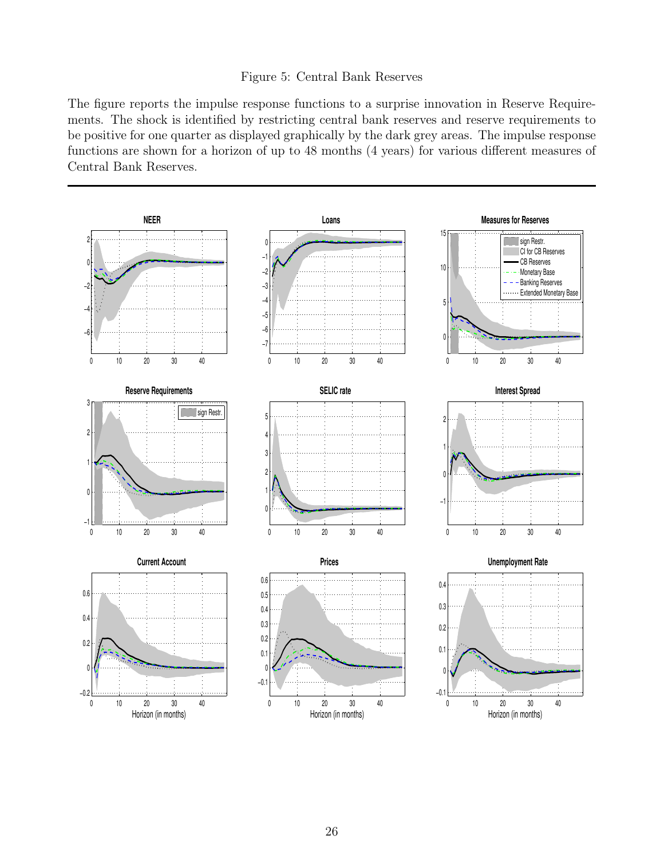#### Figure 5: Central Bank Reserves

The figure reports the impulse response functions to a surprise innovation in Reserve Requirements. The shock is identified by restricting central bank reserves and reserve requirements to be positive for one quarter as displayed graphically by the dark grey areas. The impulse response functions are shown for a horizon of up to 48 months (4 years) for various different measures of Central Bank Reserves.

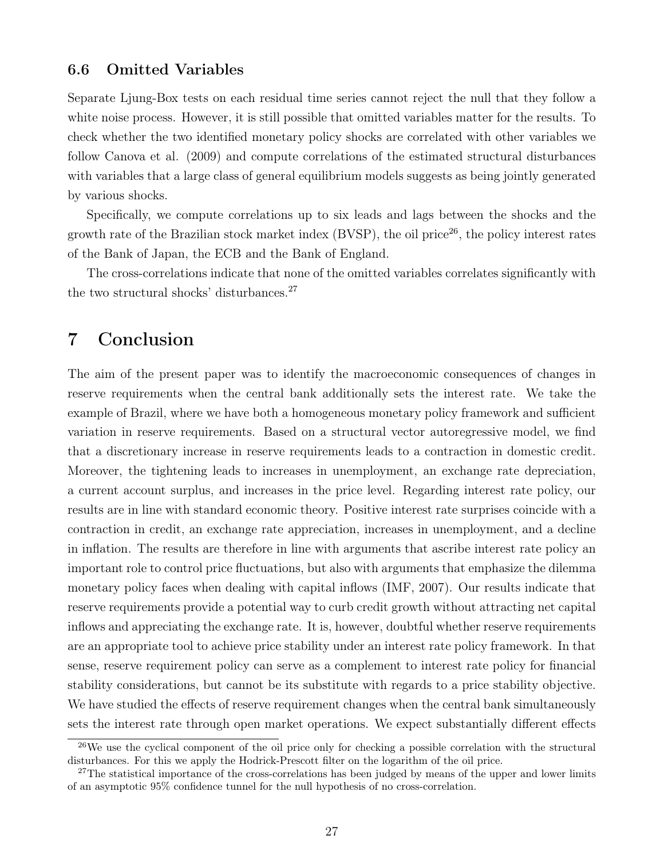### 6.6 Omitted Variables

Separate Ljung-Box tests on each residual time series cannot reject the null that they follow a white noise process. However, it is still possible that omitted variables matter for the results. To check whether the two identified monetary policy shocks are correlated with other variables we follow Canova et al. (2009) and compute correlations of the estimated structural disturbances with variables that a large class of general equilibrium models suggests as being jointly generated by various shocks.

Specifically, we compute correlations up to six leads and lags between the shocks and the growth rate of the Brazilian stock market index  $(BVSP)$ , the oil price<sup>26</sup>, the policy interest rates of the Bank of Japan, the ECB and the Bank of England.

The cross-correlations indicate that none of the omitted variables correlates significantly with the two structural shocks' disturbances.<sup>27</sup>

### 7 Conclusion

The aim of the present paper was to identify the macroeconomic consequences of changes in reserve requirements when the central bank additionally sets the interest rate. We take the example of Brazil, where we have both a homogeneous monetary policy framework and sufficient variation in reserve requirements. Based on a structural vector autoregressive model, we find that a discretionary increase in reserve requirements leads to a contraction in domestic credit. Moreover, the tightening leads to increases in unemployment, an exchange rate depreciation, a current account surplus, and increases in the price level. Regarding interest rate policy, our results are in line with standard economic theory. Positive interest rate surprises coincide with a contraction in credit, an exchange rate appreciation, increases in unemployment, and a decline in inflation. The results are therefore in line with arguments that ascribe interest rate policy an important role to control price fluctuations, but also with arguments that emphasize the dilemma monetary policy faces when dealing with capital inflows (IMF, 2007). Our results indicate that reserve requirements provide a potential way to curb credit growth without attracting net capital inflows and appreciating the exchange rate. It is, however, doubtful whether reserve requirements are an appropriate tool to achieve price stability under an interest rate policy framework. In that sense, reserve requirement policy can serve as a complement to interest rate policy for financial stability considerations, but cannot be its substitute with regards to a price stability objective. We have studied the effects of reserve requirement changes when the central bank simultaneously sets the interest rate through open market operations. We expect substantially different effects

<sup>&</sup>lt;sup>26</sup>We use the cyclical component of the oil price only for checking a possible correlation with the structural disturbances. For this we apply the Hodrick-Prescott filter on the logarithm of the oil price.

<sup>&</sup>lt;sup>27</sup>The statistical importance of the cross-correlations has been judged by means of the upper and lower limits of an asymptotic 95% confidence tunnel for the null hypothesis of no cross-correlation.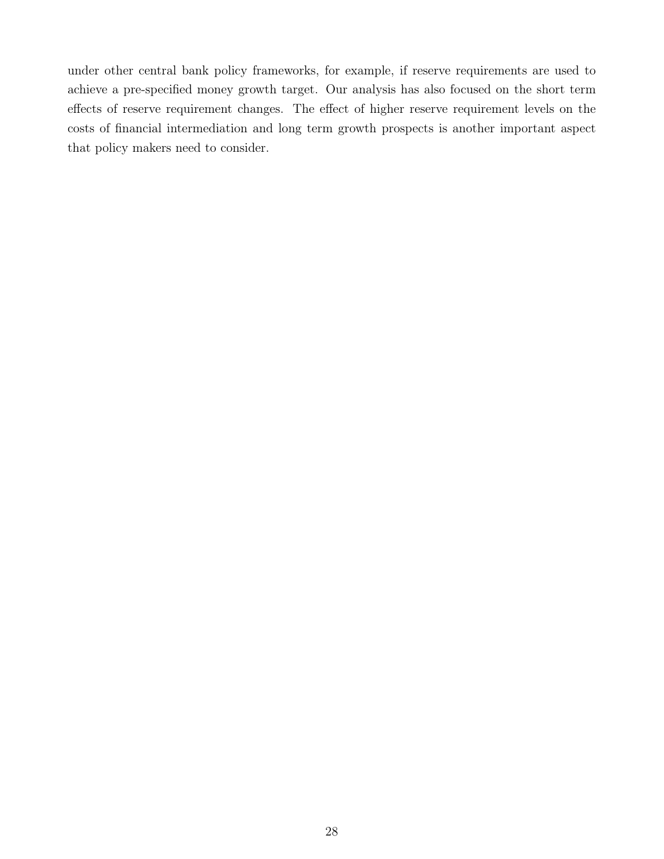under other central bank policy frameworks, for example, if reserve requirements are used to achieve a pre-specified money growth target. Our analysis has also focused on the short term effects of reserve requirement changes. The effect of higher reserve requirement levels on the costs of financial intermediation and long term growth prospects is another important aspect that policy makers need to consider.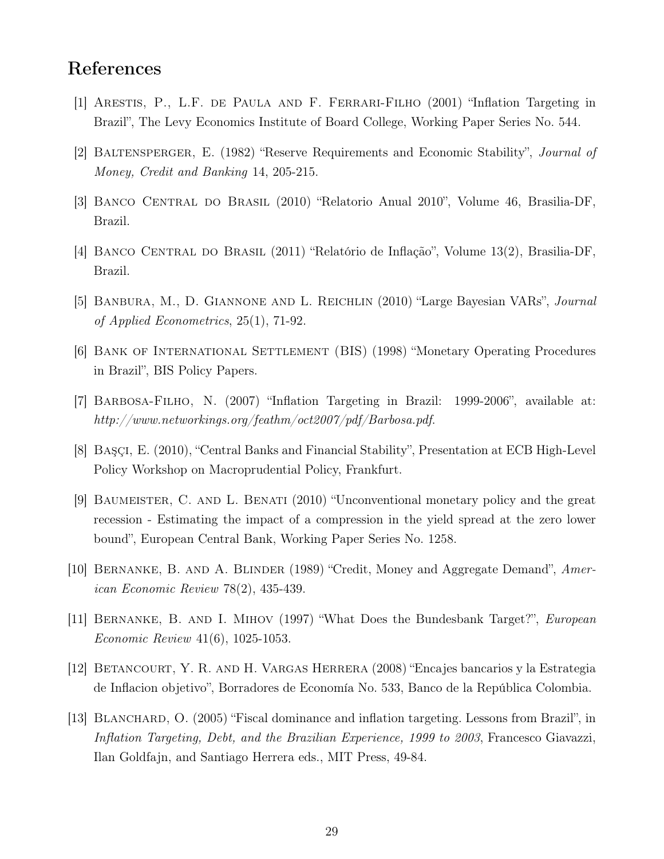### References

- [1] Arestis, P., L.F. de Paula and F. Ferrari-Filho (2001) "Inflation Targeting in Brazil", The Levy Economics Institute of Board College, Working Paper Series No. 544.
- [2] Baltensperger, E. (1982) "Reserve Requirements and Economic Stability", Journal of Money, Credit and Banking 14, 205-215.
- [3] BANCO CENTRAL DO BRASIL (2010) "Relatorio Anual 2010", Volume 46, Brasilia-DF, Brazil.
- [4] Banco Central do Brasil (2011) "Relatório de Inflação", Volume 13(2), Brasilia-DF, Brazil.
- [5] Banbura, M., D. Giannone and L. Reichlin (2010) "Large Bayesian VARs", Journal of Applied Econometrics, 25(1), 71-92.
- [6] Bank of International Settlement (BIS) (1998) "Monetary Operating Procedures in Brazil", BIS Policy Papers.
- [7] Barbosa-Filho, N. (2007) "Inflation Targeting in Brazil: 1999-2006", available at: http://www.networkings.org/feathm/oct2007/pdf/Barbosa.pdf.
- [8] Başçi, E. (2010), "Central Banks and Financial Stability", Presentation at ECB High-Level Policy Workshop on Macroprudential Policy, Frankfurt.
- [9] Baumeister, C. and L. Benati (2010) "Unconventional monetary policy and the great recession - Estimating the impact of a compression in the yield spread at the zero lower bound", European Central Bank, Working Paper Series No. 1258.
- [10] Bernanke, B. and A. Blinder (1989) "Credit, Money and Aggregate Demand", American Economic Review 78(2), 435-439.
- [11] Bernanke, B. and I. Mihov (1997) "What Does the Bundesbank Target?", European Economic Review 41(6), 1025-1053.
- [12] Betancourt, Y. R. and H. Vargas Herrera (2008) "Encajes bancarios y la Estrategia de Inflacion objetivo", Borradores de Economía No. 533, Banco de la República Colombia.
- [13] Blanchard, O. (2005) "Fiscal dominance and inflation targeting. Lessons from Brazil", in Inflation Targeting, Debt, and the Brazilian Experience, 1999 to 2003, Francesco Giavazzi, Ilan Goldfajn, and Santiago Herrera eds., MIT Press, 49-84.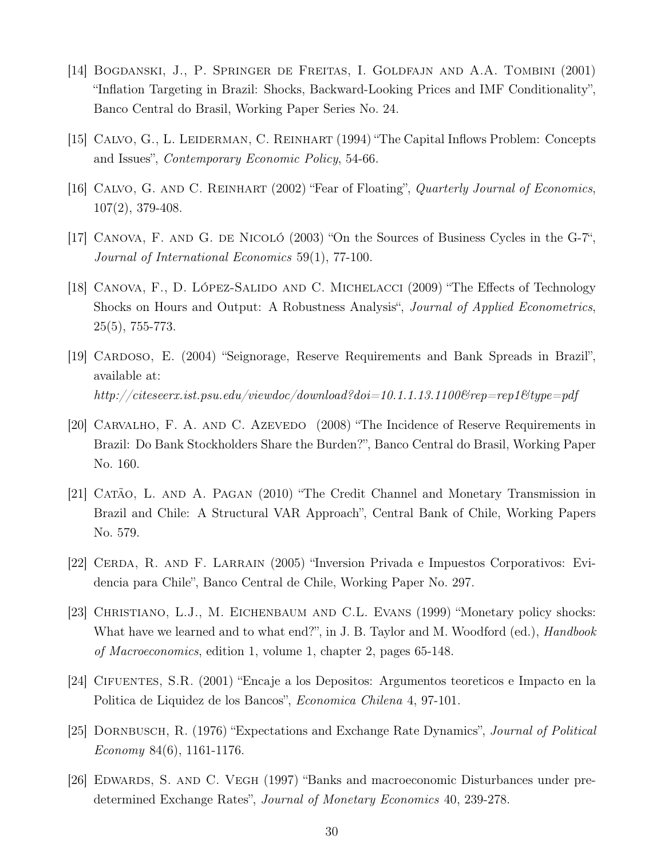- [14] Bogdanski, J., P. Springer de Freitas, I. Goldfajn and A.A. Tombini (2001) "Inflation Targeting in Brazil: Shocks, Backward-Looking Prices and IMF Conditionality", Banco Central do Brasil, Working Paper Series No. 24.
- [15] Calvo, G., L. Leiderman, C. Reinhart (1994) "The Capital Inflows Problem: Concepts and Issues", Contemporary Economic Policy, 54-66.
- [16] Calvo, G. and C. Reinhart (2002) "Fear of Floating", Quarterly Journal of Economics, 107(2), 379-408.
- [17] Canova, F. and G. de Nicoló (2003) "On the Sources of Business Cycles in the G-7", Journal of International Economics 59(1), 77-100.
- [18] Canova, F., D. López-Salido and C. Michelacci (2009) "The Effects of Technology Shocks on Hours and Output: A Robustness Analysis", Journal of Applied Econometrics, 25(5), 755-773.
- [19] CARDOSO, E. (2004) "Seignorage, Reserve Requirements and Bank Spreads in Brazil", available at: http://citeseerx.ist.psu.edu/viewdoc/download?doi=10.1.1.13.1100&rep=rep1&type=pdf
- [20] CARVALHO, F. A. AND C. AZEVEDO (2008) "The Incidence of Reserve Requirements in Brazil: Do Bank Stockholders Share the Burden?", Banco Central do Brasil, Working Paper No. 160.
- [21] Catão, L. and A. Pagan (2010) "The Credit Channel and Monetary Transmission in Brazil and Chile: A Structural VAR Approach", Central Bank of Chile, Working Papers No. 579.
- [22] Cerda, R. and F. Larrain (2005) "Inversion Privada e Impuestos Corporativos: Evidencia para Chile", Banco Central de Chile, Working Paper No. 297.
- [23] Christiano, L.J., M. Eichenbaum and C.L. Evans (1999) "Monetary policy shocks: What have we learned and to what end?", in J. B. Taylor and M. Woodford (ed.), *Handbook* of Macroeconomics, edition 1, volume 1, chapter 2, pages 65-148.
- [24] Cifuentes, S.R. (2001) "Encaje a los Depositos: Argumentos teoreticos e Impacto en la Politica de Liquidez de los Bancos", Economica Chilena 4, 97-101.
- [25] Dornbusch, R. (1976) "Expectations and Exchange Rate Dynamics", Journal of Political Economy 84(6), 1161-1176.
- [26] Edwards, S. and C. Vegh (1997) "Banks and macroeconomic Disturbances under predetermined Exchange Rates", Journal of Monetary Economics 40, 239-278.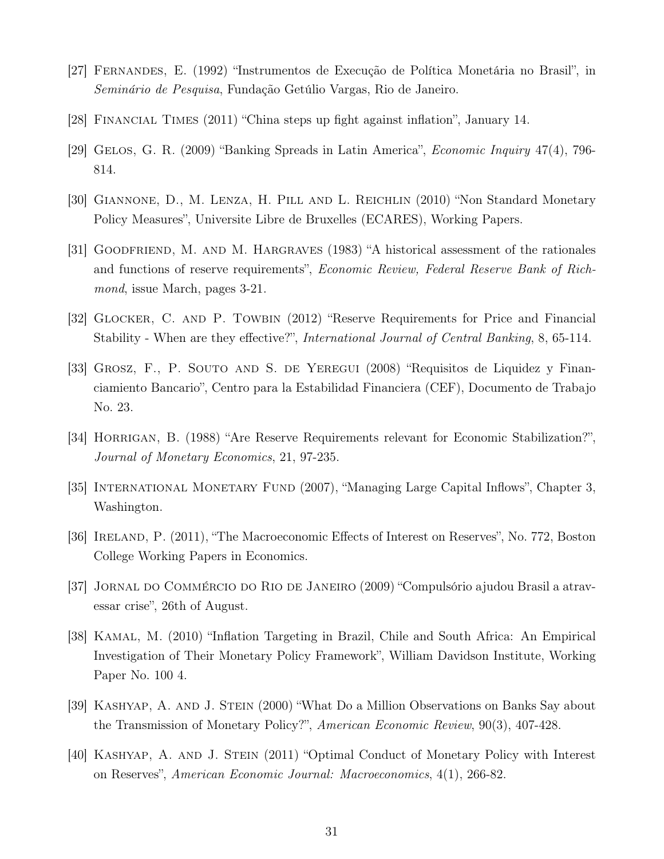- [27] Fernandes, E. (1992) "Instrumentos de Execução de Política Monetária no Brasil", in Seminário de Pesquisa, Fundação Getúlio Vargas, Rio de Janeiro.
- [28] Financial Times (2011) "China steps up fight against inflation", January 14.
- [29] GELOS, G. R. (2009) "Banking Spreads in Latin America", *Economic Inquiry* 47(4), 796-814.
- [30] Giannone, D., M. Lenza, H. Pill and L. Reichlin (2010) "Non Standard Monetary Policy Measures", Universite Libre de Bruxelles (ECARES), Working Papers.
- [31] GOODFRIEND, M. AND M. HARGRAVES (1983) "A historical assessment of the rationales and functions of reserve requirements", Economic Review, Federal Reserve Bank of Richmond, issue March, pages 3-21.
- [32] Glocker, C. and P. Towbin (2012) "Reserve Requirements for Price and Financial Stability - When are they effective?", International Journal of Central Banking, 8, 65-114.
- [33] Grosz, F., P. Souto and S. de Yeregui (2008) "Requisitos de Liquidez y Financiamiento Bancario", Centro para la Estabilidad Financiera (CEF), Documento de Trabajo No. 23.
- [34] Horrigan, B. (1988) "Are Reserve Requirements relevant for Economic Stabilization?", Journal of Monetary Economics, 21, 97-235.
- [35] INTERNATIONAL MONETARY FUND (2007), "Managing Large Capital Inflows", Chapter 3, Washington.
- [36] IRELAND, P. (2011), "The Macroeconomic Effects of Interest on Reserves", No. 772, Boston College Working Papers in Economics.
- [37] Jornal do Commércio do Rio de Janeiro (2009) "Compulsório ajudou Brasil a atravessar crise", 26th of August.
- [38] Kamal, M. (2010) "Inflation Targeting in Brazil, Chile and South Africa: An Empirical Investigation of Their Monetary Policy Framework", William Davidson Institute, Working Paper No. 100 4.
- [39] KASHYAP, A. AND J. STEIN (2000) "What Do a Million Observations on Banks Say about the Transmission of Monetary Policy?", American Economic Review, 90(3), 407-428.
- [40] Kashyap, A. and J. Stein (2011) "Optimal Conduct of Monetary Policy with Interest on Reserves", American Economic Journal: Macroeconomics, 4(1), 266-82.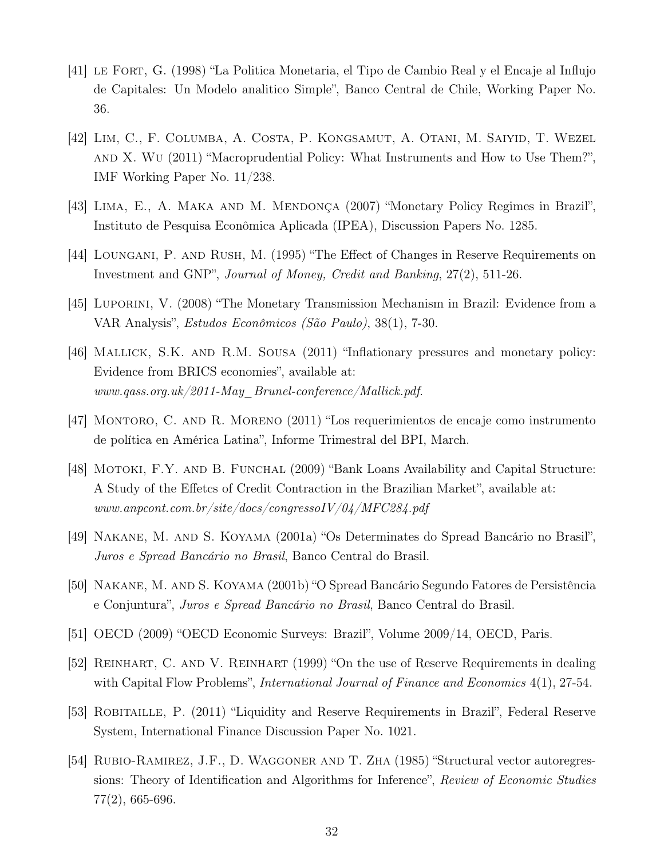- [41] le Fort, G. (1998) "La Politica Monetaria, el Tipo de Cambio Real y el Encaje al Influjo de Capitales: Un Modelo analitico Simple", Banco Central de Chile, Working Paper No. 36.
- [42] Lim, C., F. Columba, A. Costa, P. Kongsamut, A. Otani, M. Saiyid, T. Wezel and X. Wu (2011) "Macroprudential Policy: What Instruments and How to Use Them?", IMF Working Paper No. 11/238.
- [43] Lima, E., A. Maka and M. Mendonça (2007) "Monetary Policy Regimes in Brazil", Instituto de Pesquisa Econômica Aplicada (IPEA), Discussion Papers No. 1285.
- [44] Loungani, P. and Rush, M. (1995) "The Effect of Changes in Reserve Requirements on Investment and GNP", Journal of Money, Credit and Banking, 27(2), 511-26.
- [45] Luporini, V. (2008) "The Monetary Transmission Mechanism in Brazil: Evidence from a VAR Analysis", Estudos Econômicos (São Paulo), 38(1), 7-30.
- [46] Mallick, S.K. and R.M. Sousa (2011) "Inflationary pressures and monetary policy: Evidence from BRICS economies", available at: www.qass.org.uk/2011-May\_Brunel-conference/Mallick.pdf.
- [47] Montoro, C. and R. Moreno (2011) "Los requerimientos de encaje como instrumento de política en América Latina", Informe Trimestral del BPI, March.
- [48] Motoki, F.Y. and B. Funchal (2009) "Bank Loans Availability and Capital Structure: A Study of the Effetcs of Credit Contraction in the Brazilian Market", available at: www.anpcont.com.br/site/docs/congressoIV/04/MFC284.pdf
- [49] Nakane, M. and S. Koyama (2001a) "Os Determinates do Spread Bancário no Brasil", Juros e Spread Bancário no Brasil, Banco Central do Brasil.
- [50] Nakane, M. and S. Koyama (2001b) "O Spread Bancário Segundo Fatores de Persistência e Conjuntura", Juros e Spread Bancário no Brasil, Banco Central do Brasil.
- [51] OECD (2009) "OECD Economic Surveys: Brazil", Volume 2009/14, OECD, Paris.
- [52] Reinhart, C. and V. Reinhart (1999) "On the use of Reserve Requirements in dealing with Capital Flow Problems", *International Journal of Finance and Economics* 4(1), 27-54.
- [53] Robitaille, P. (2011) "Liquidity and Reserve Requirements in Brazil", Federal Reserve System, International Finance Discussion Paper No. 1021.
- [54] Rubio-Ramirez, J.F., D. Waggoner and T. Zha (1985) "Structural vector autoregressions: Theory of Identification and Algorithms for Inference", Review of Economic Studies 77(2), 665-696.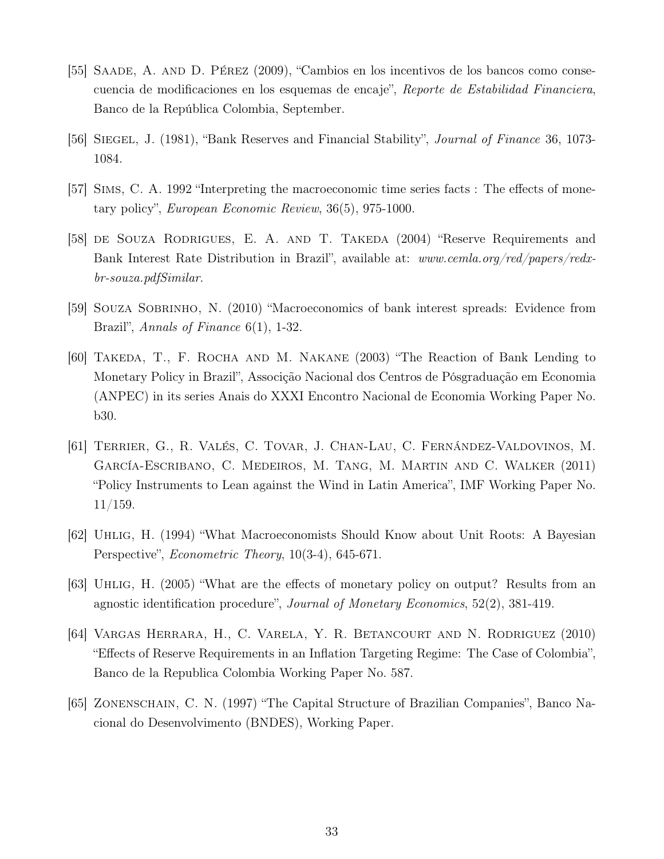- [55] Saade, A. and D. Pérez (2009), "Cambios en los incentivos de los bancos como consecuencia de modificaciones en los esquemas de encaje", Reporte de Estabilidad Financiera, Banco de la República Colombia, September.
- [56] Siegel, J. (1981), "Bank Reserves and Financial Stability", Journal of Finance 36, 1073- 1084.
- [57] Sims, C. A. 1992 "Interpreting the macroeconomic time series facts : The effects of monetary policy", European Economic Review, 36(5), 975-1000.
- [58] de Souza Rodrigues, E. A. and T. Takeda (2004) "Reserve Requirements and Bank Interest Rate Distribution in Brazil", available at: www.cemla.org/red/papers/redxbr-souza.pdfSimilar.
- [59] Souza Sobrinho, N. (2010) "Macroeconomics of bank interest spreads: Evidence from Brazil", Annals of Finance 6(1), 1-32.
- [60] Takeda, T., F. Rocha and M. Nakane (2003) "The Reaction of Bank Lending to Monetary Policy in Brazil", Associção Nacional dos Centros de Pósgraduação em Economia (ANPEC) in its series Anais do XXXI Encontro Nacional de Economia Working Paper No. b30.
- [61] Terrier, G., R. Valés, C. Tovar, J. Chan-Lau, C. Fernández-Valdovinos, M. García-Escribano, C. Medeiros, M. Tang, M. Martin and C. Walker (2011) "Policy Instruments to Lean against the Wind in Latin America", IMF Working Paper No. 11/159.
- [62] UHLIG, H. (1994) "What Macroeconomists Should Know about Unit Roots: A Bayesian Perspective", Econometric Theory, 10(3-4), 645-671.
- [63] Uhlig, H. (2005) "What are the effects of monetary policy on output? Results from an agnostic identification procedure", Journal of Monetary Economics, 52(2), 381-419.
- [64] Vargas Herrara, H., C. Varela, Y. R. Betancourt and N. Rodriguez (2010) "Effects of Reserve Requirements in an Inflation Targeting Regime: The Case of Colombia", Banco de la Republica Colombia Working Paper No. 587.
- [65] Zonenschain, C. N. (1997) "The Capital Structure of Brazilian Companies", Banco Nacional do Desenvolvimento (BNDES), Working Paper.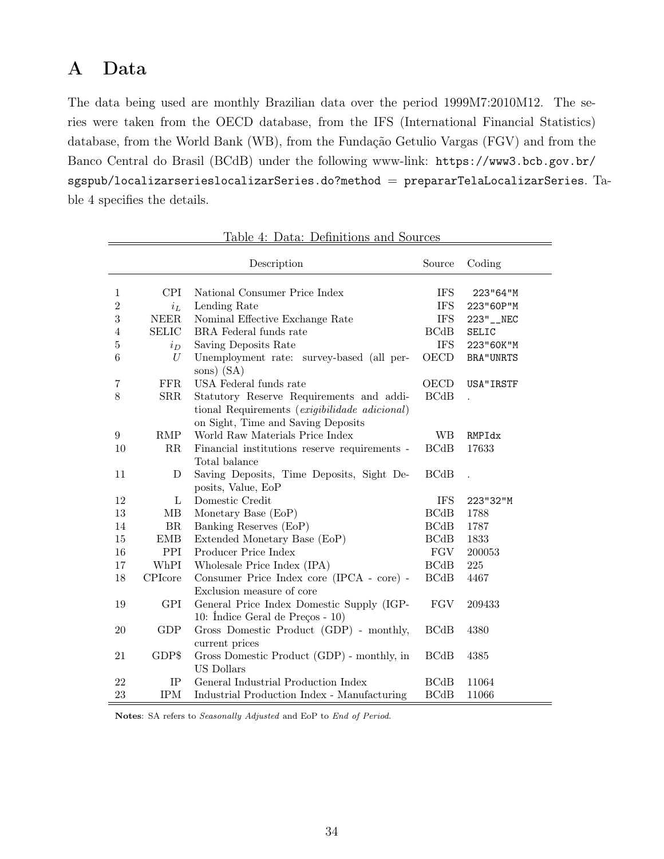### A Data

The data being used are monthly Brazilian data over the period 1999M7:2010M12. The series were taken from the OECD database, from the IFS (International Financial Statistics) database, from the World Bank (WB), from the Fundação Getulio Vargas (FGV) and from the Banco Central do Brasil (BCdB) under the following www-link: https://www3.bcb.gov.br/  $sgspub/localizerserieslocalizarSeries.do? method = prepararTelalocalizarSeries. Ta$ ble 4 specifies the details.

|                |                          | Description                                            | Source     | Coding            |
|----------------|--------------------------|--------------------------------------------------------|------------|-------------------|
| $\mathbf{1}$   | <b>CPI</b>               | National Consumer Price Index                          | <b>IFS</b> | 223"64"M          |
| $\overline{2}$ | $i_L$                    | Lending Rate                                           | <b>IFS</b> | 223"60P"M         |
| 3              | <b>NEER</b>              | Nominal Effective Exchange Rate                        | <b>IFS</b> | 223"__NEC         |
| $\overline{4}$ | <b>SELIC</b>             | BRA Federal funds rate                                 | BCdB       | <b>SELIC</b>      |
| 5              | $i_D$                    | Saving Deposits Rate                                   | IFS.       | 223"60K"M         |
| 6              | U                        | Unemployment rate: survey-based (all per-              | OECD       | <b>BRA</b> "UNRTS |
|                |                          | sons) (SA)                                             |            |                   |
| 7              | ${\rm FFR}$              | USA Federal funds rate                                 | OECD       | USA"IRSTF         |
| 8              | <b>SRR</b>               | Statutory Reserve Requirements and addi-               | BCdB       |                   |
|                |                          | tional Requirements ( <i>exigibilidade adicional</i> ) |            |                   |
|                |                          | on Sight, Time and Saving Deposits                     |            |                   |
| 9              | <b>RMP</b>               | World Raw Materials Price Index                        | WB         | RMPIdx            |
| 10             | RR                       | Financial institutions reserve requirements -          | BCdB       | 17633             |
|                |                          | Total balance                                          |            |                   |
| 11             | D                        | Saving Deposits, Time Deposits, Sight De-              | BCdB       |                   |
|                |                          | posits, Value, EoP                                     |            |                   |
| 12             | L                        | Domestic Credit                                        | <b>IFS</b> | 223"32"M          |
| 13             | MB                       | Monetary Base (EoP)                                    | BCdB       | 1788              |
| 14             | BR                       | Banking Reserves (EoP)                                 | BCdB       | 1787              |
| 15             | <b>EMB</b>               | Extended Monetary Base (EoP)                           | BCdB       | 1833              |
| 16             | PPI                      | Producer Price Index                                   | <b>FGV</b> | 200053            |
| 17             | WhPI                     | Wholesale Price Index (IPA)                            | BCdB       | 225               |
| 18             | $\operatorname{CPIcore}$ | Consumer Price Index core (IPCA - core) -              | BCdB       | 4467              |
|                |                          | Exclusion measure of core                              |            |                   |
| 19             | <b>GPI</b>               | General Price Index Domestic Supply (IGP-              | <b>FGV</b> | 209433            |
|                |                          | 10: Índice Geral de Preços - 10)                       |            |                   |
| 20             | <b>GDP</b>               | Gross Domestic Product (GDP) - monthly,                | BCdB       | 4380              |
|                |                          | current prices                                         |            |                   |
| 21             | GDP\$                    | Gross Domestic Product (GDP) - monthly, in             | BCdB       | 4385              |
|                |                          | <b>US Dollars</b>                                      |            |                   |
| 22             | IP                       | General Industrial Production Index                    | BCdB       | 11064             |
| 23             | $\text{IPM}{}$           | Industrial Production Index - Manufacturing            | BCdB       | 11066             |

Table 4: Data: Definitions and Sources

Notes: SA refers to Seasonally Adjusted and EoP to End of Period.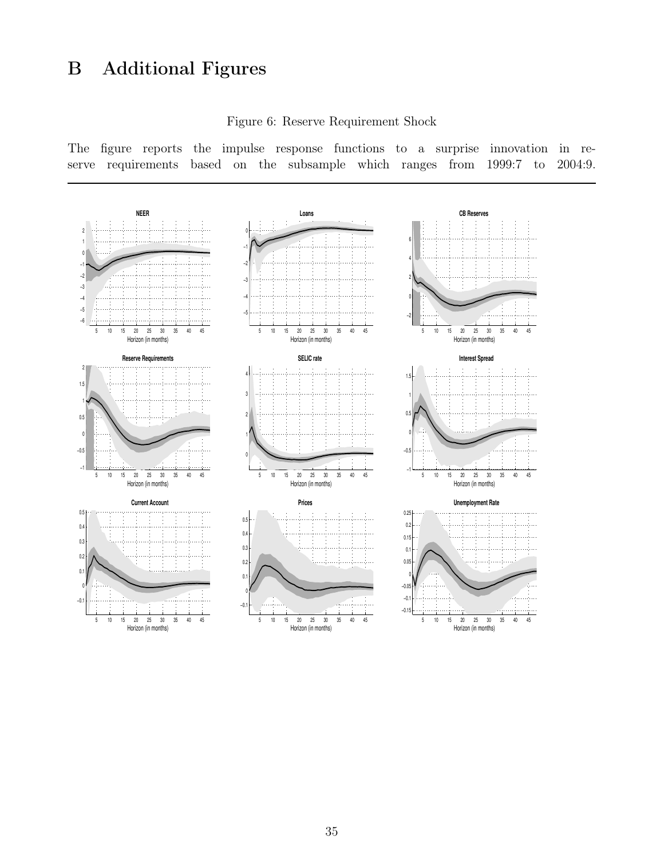## B Additional Figures

Figure 6: Reserve Requirement Shock

The figure reports the impulse response functions to a surprise innovation in reserve requirements based on the subsample which ranges from 1999:7 to 2004:9.

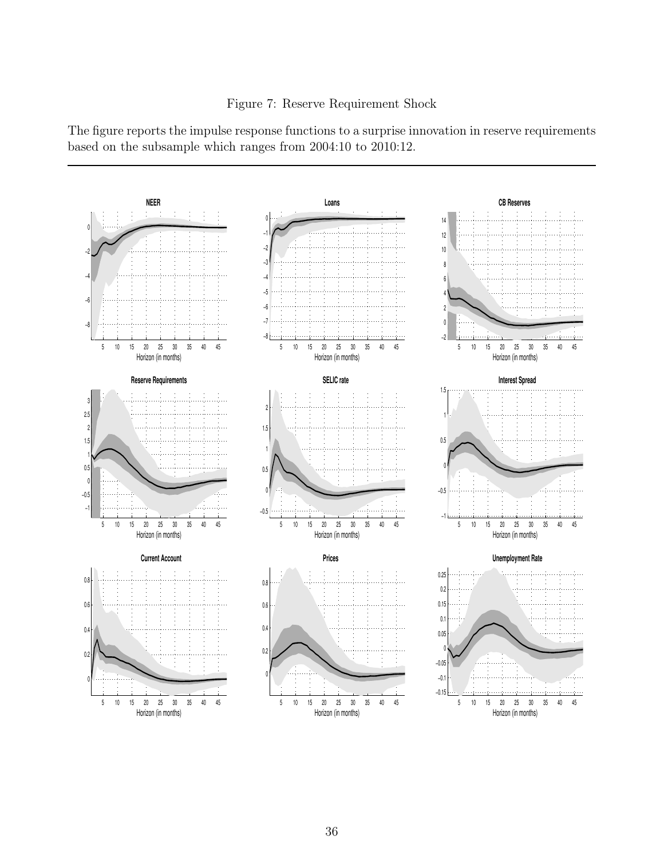

The figure reports the impulse response functions to a surprise innovation in reserve requirements based on the subsample which ranges from 2004:10 to 2010:12.